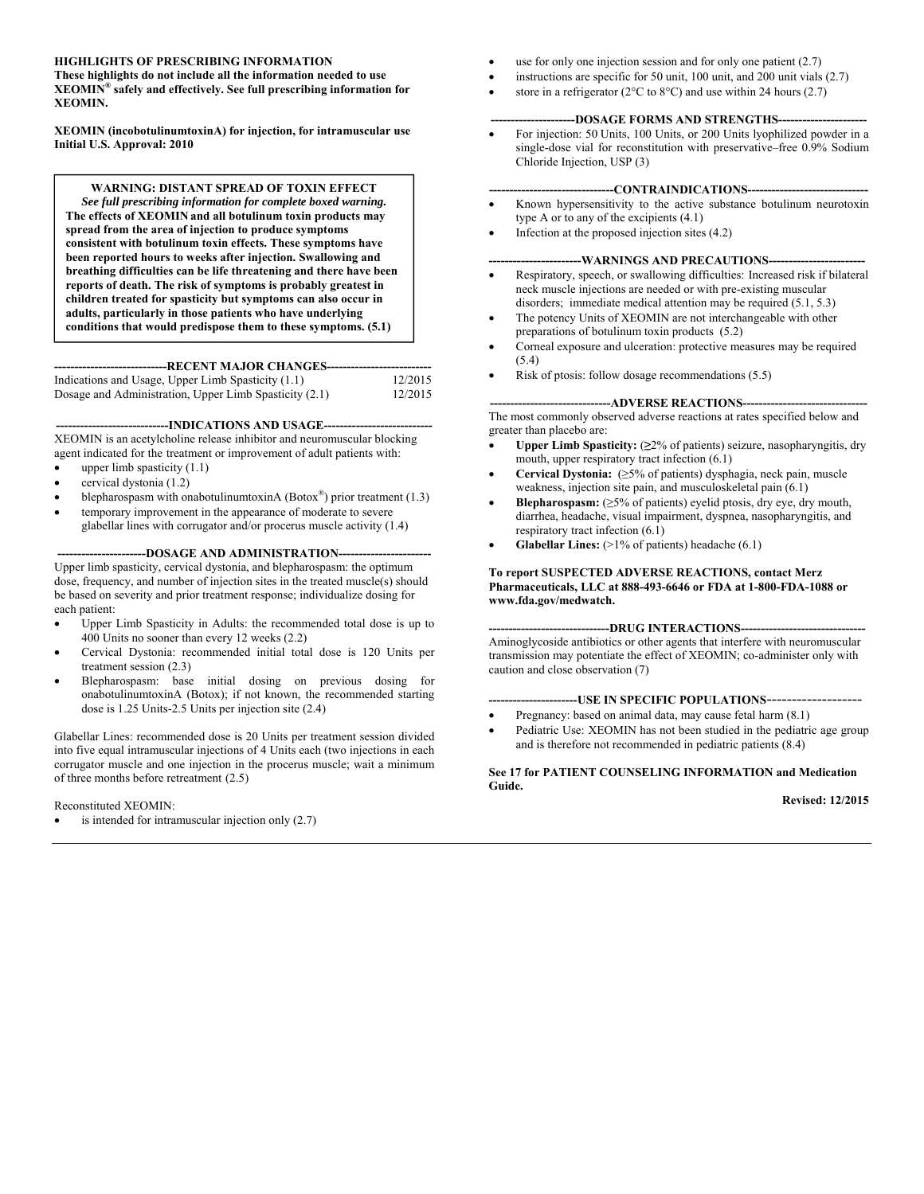## **HIGHLIGHTS OF PRESCRIBING INFORMATION**

**These highlights do not include all the information needed to use XEOMIN® safely and effectively. See full prescribing information for XEOMIN.** 

**XEOMIN (incobotulinumtoxinA) for injection, for intramuscular use Initial U.S. Approval: 2010** 

**WARNING: DISTANT SPREAD OF TOXIN EFFECT**  *See full prescribing information for complete boxed warning.*  **The effects of XEOMIN and all botulinum toxin products may spread from the area of injection to produce symptoms consistent with botulinum toxin effects. These symptoms have been reported hours to weeks after injection. Swallowing and breathing difficulties can be life threatening and there have been reports of death. The risk of symptoms is probably greatest in children treated for spasticity but symptoms can also occur in adults, particularly in those patients who have underlying conditions that would predispose them to these symptoms. (5.1)** 

---RECENT MAJOR CHANGES--Indications and Usage, Upper Limb Spasticity (1.1) 12/2015 Dosage and Administration, Upper Limb Spasticity (2.1) 12/2015

**----------------------------INDICATIONS AND USAGE---------------------------** 

XEOMIN is an acetylcholine release inhibitor and neuromuscular blocking agent indicated for the treatment or improvement of adult patients with:

- $\bullet$  upper limb spasticity (1.1)
- cervical dystonia (1.2)
- blepharospasm with onabotulinumtoxinA (Botox®) prior treatment  $(1.3)$
- temporary improvement in the appearance of moderate to severe
- glabellar lines with corrugator and/or procerus muscle activity (1.4)

----DOSAGE AND ADMINISTRATION--

Upper limb spasticity, cervical dystonia, and blepharospasm: the optimum dose, frequency, and number of injection sites in the treated muscle(s) should be based on severity and prior treatment response; individualize dosing for each patient:

- Upper Limb Spasticity in Adults: the recommended total dose is up to 400 Units no sooner than every 12 weeks (2.2)
- Cervical Dystonia: recommended initial total dose is 120 Units per treatment session (2.3)
- Blepharospasm: base initial dosing on previous dosing for onabotulinumtoxinA (Botox); if not known, the recommended starting dose is 1.25 Units-2.5 Units per injection site (2.4)

Glabellar Lines: recommended dose is 20 Units per treatment session divided into five equal intramuscular injections of 4 Units each (two injections in each corrugator muscle and one injection in the procerus muscle; wait a minimum of three months before retreatment (2.5)

## Reconstituted XEOMIN:

is intended for intramuscular injection only (2.7)

- use for only one injection session and for only one patient (2.7)
- instructions are specific for 50 unit, 100 unit, and 200 unit vials (2.7)
- store in a refrigerator ( $2^{\circ}$ C to  $8^{\circ}$ C) and use within 24 hours (2.7)

### -DOSAGE FORMS AND STRENGTHS---

 For injection: 50 Units, 100 Units, or 200 Units lyophilized powder in a single-dose vial for reconstitution with preservative–free 0.9% Sodium Chloride Injection, USP (3)

## **-------------------------------CONTRAINDICATIONS------------------------------**

- Known hypersensitivity to the active substance botulinum neurotoxin type A or to any of the excipients (4.1)
- Infection at the proposed injection sites (4.2)

## **-----------------------WARNINGS AND PRECAUTIONS------------------------**

- Respiratory, speech, or swallowing difficulties: Increased risk if bilateral neck muscle injections are needed or with pre-existing muscular disorders; immediate medical attention may be required (5.1, 5.3)
- The potency Units of XEOMIN are not interchangeable with other preparations of botulinum toxin products (5.2)
- Corneal exposure and ulceration: protective measures may be required (5.4)
- Risk of ptosis: follow dosage recommendations (5.5)

#### --ADVERSE REACTIONS----

The most commonly observed adverse reactions at rates specified below and greater than placebo are:

- **Upper Limb Spasticity:** (**≥**2% of patients) seizure, nasopharyngitis, dry mouth, upper respiratory tract infection (6.1)
- **Cervical Dystonia:** (≥5% of patients) dysphagia, neck pain, muscle weakness, injection site pain, and musculoskeletal pain (6.1)
- **Blepharospasm:**  $(\geq 5\%$  of patients) eyelid ptosis, dry eye, dry mouth, diarrhea, headache, visual impairment, dyspnea, nasopharyngitis, and respiratory tract infection (6.1)
- **Glabellar Lines:** (>1% of patients) headache (6.1)

#### **To report SUSPECTED ADVERSE REACTIONS, contact Merz Pharmaceuticals, LLC at 888-493-6646 or FDA at 1-800-FDA-1088 or www.fda.gov/medwatch.**

#### --DRUG INTERACTIONS-----

Aminoglycoside antibiotics or other agents that interfere with neuromuscular transmission may potentiate the effect of XEOMIN; co-administer only with caution and close observation (7)

### **----------------------USE IN SPECIFIC POPULATIONS***-------------------*

- Pregnancy: based on animal data, may cause fetal harm (8.1)
- Pediatric Use: XEOMIN has not been studied in the pediatric age group and is therefore not recommended in pediatric patients (8.4)

## **See 17 for PATIENT COUNSELING INFORMATION and Medication Guide.**

 **Revised: 12/2015**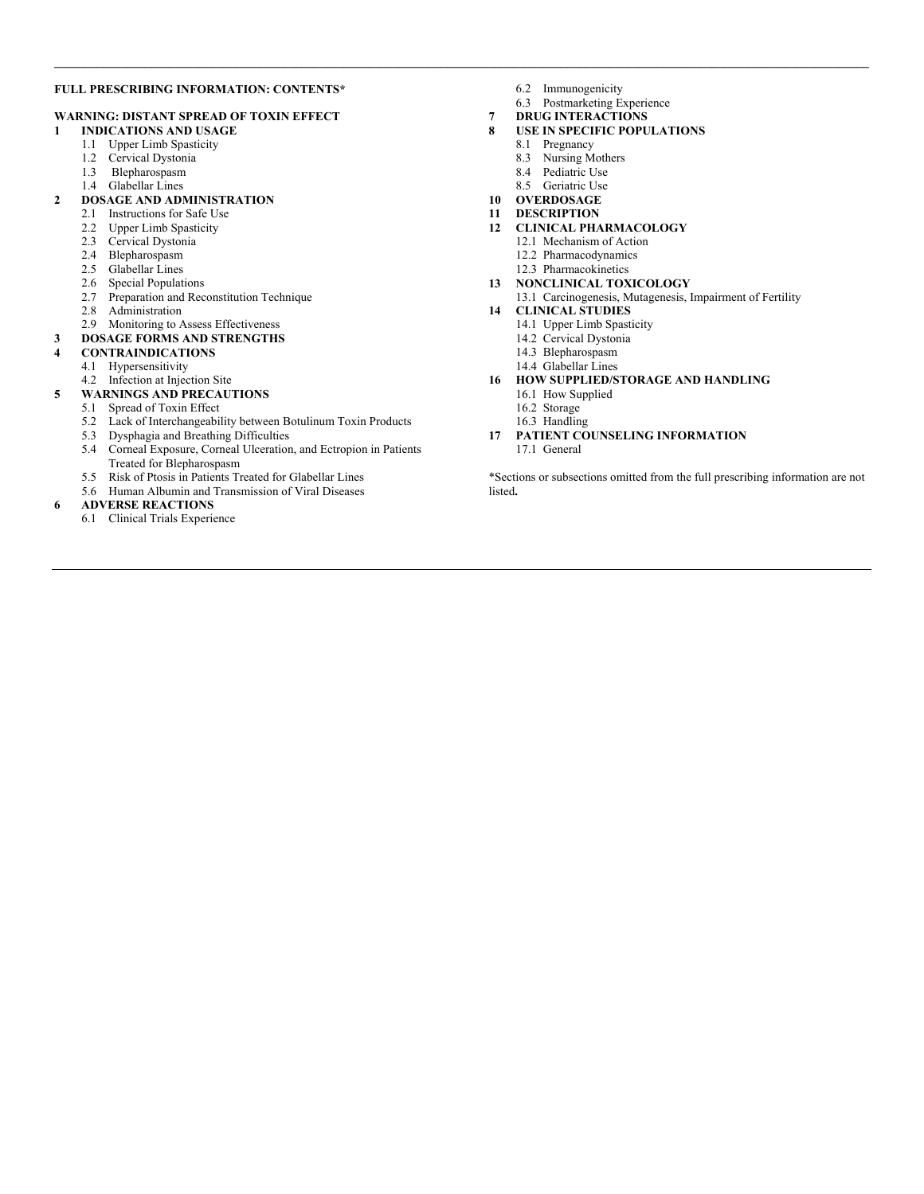### **FULL PRESCRIBING INFORMATION: CONTENTS\***

## **WARNING: DISTANT SPREAD OF TOXIN EFFECT**

- **1 INDICATIONS AND USAGE** 
	- 1.1 Upper Limb Spasticity
	- 1.2 Cervical Dystonia
	- 1.3 Blepharospasm
	- 1.4 Glabellar Lines

## **2 DOSAGE AND ADMINISTRATION**

- 2.1 Instructions for Safe Use
- 2.2 Upper Limb Spasticity
- 2.3 Cervical Dystonia
- 2.4 Blepharospasm
- 2.5 Glabellar Lines
- 2.6 Special Populations
- 2.7 Preparation and Reconstitution Technique
- 2.8 Administration
- 2.9 Monitoring to Assess Effectiveness
- **3 DOSAGE FORMS AND STRENGTHS**

## **4 CONTRAINDICATIONS**

- 4.1 Hypersensitivity
- 4.2 Infection at Injection Site
- **5 WARNINGS AND PRECAUTIONS** 
	- 5.1 Spread of Toxin Effect
	- 5.2 Lack of Interchangeability between Botulinum Toxin Products
	- 5.3 Dysphagia and Breathing Difficulties
	- 5.4 Corneal Exposure, Corneal Ulceration, and Ectropion in Patients Treated for Blepharospasm
	- 5.5 Risk of Ptosis in Patients Treated for Glabellar Lines
	- 5.6 Human Albumin and Transmission of Viral Diseases

#### **6 ADVERSE REACTIONS**

6.1 Clinical Trials Experience

6.2 Immunogenicity

 $\mathcal{L} = \{ \mathcal{L} = \{ \mathcal{L} = \{ \mathcal{L} = \{ \mathcal{L} = \{ \mathcal{L} = \{ \mathcal{L} = \{ \mathcal{L} = \{ \mathcal{L} = \{ \mathcal{L} = \{ \mathcal{L} = \{ \mathcal{L} = \{ \mathcal{L} = \{ \mathcal{L} = \{ \mathcal{L} = \{ \mathcal{L} = \{ \mathcal{L} = \{ \mathcal{L} = \{ \mathcal{L} = \{ \mathcal{L} = \{ \mathcal{L} = \{ \mathcal{L} = \{ \mathcal{L} = \{ \mathcal{L} = \{ \mathcal{$ 

- 6.3 Postmarketing Experience
- **7 DRUG INTERACTIONS**
- **8 USE IN SPECIFIC POPULATIONS** 
	- 8.1 Pregnancy
	- 8.3 Nursing Mothers
	- 8.4 Pediatric Use
	- 8.5 Geriatric Use
- **10 OVERDOSAGE**
- **11 DESCRIPTION**
- **12 CLINICAL PHARMACOLOGY** 
	- 12.1 Mechanism of Action
	- 12.2 Pharmacodynamics
	- 12.3 Pharmacokinetics

## **13 NONCLINICAL TOXICOLOGY**

13.1 Carcinogenesis, Mutagenesis, Impairment of Fertility

#### **14 CLINICAL STUDIES**

- 14.1 Upper Limb Spasticity
- 14.2 Cervical Dystonia
- 14.3 Blepharospasm
- 14.4 Glabellar Lines
- **16 HOW SUPPLIED/STORAGE AND HANDLING** 
	- 16.1 How Supplied
	- 16.2 Storage
	- 16.3 Handling
- **17 PATIENT COUNSELING INFORMATION**  17.1 General

\*Sections or subsections omitted from the full prescribing information are not listed**.**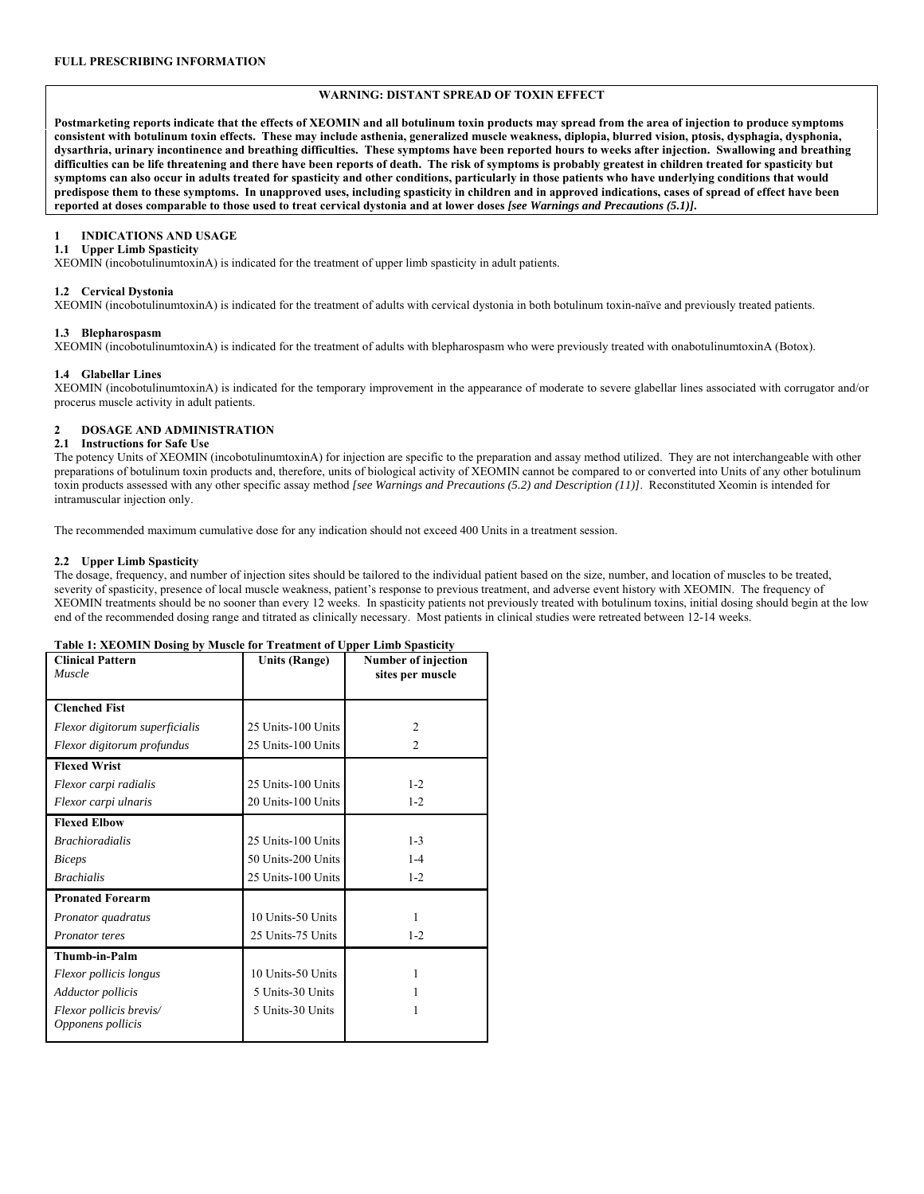## **WARNING: DISTANT SPREAD OF TOXIN EFFECT**

**Postmarketing reports indicate that the effects of XEOMIN and all botulinum toxin products may spread from the area of injection to produce symptoms consistent with botulinum toxin effects. These may include asthenia, generalized muscle weakness, diplopia, blurred vision, ptosis, dysphagia, dysphonia, dysarthria, urinary incontinence and breathing difficulties. These symptoms have been reported hours to weeks after injection. Swallowing and breathing difficulties can be life threatening and there have been reports of death. The risk of symptoms is probably greatest in children treated for spasticity but symptoms can also occur in adults treated for spasticity and other conditions, particularly in those patients who have underlying conditions that would predispose them to these symptoms. In unapproved uses, including spasticity in children and in approved indications, cases of spread of effect have been reported at doses comparable to those used to treat cervical dystonia and at lower doses** *[see Warnings and Precautions (5.1)]***.** 

## **1 INDICATIONS AND USAGE**

## **1.1 Upper Limb Spasticity**

XEOMIN (incobotulinumtoxinA) is indicated for the treatment of upper limb spasticity in adult patients.

### **1.2 Cervical Dystonia**

XEOMIN (incobotulinumtoxinA) is indicated for the treatment of adults with cervical dystonia in both botulinum toxin-naïve and previously treated patients.

### **1.3 Blepharospasm**

XEOMIN (incobotulinumtoxinA) is indicated for the treatment of adults with blepharospasm who were previously treated with onabotulinumtoxinA (Botox).

### **1.4 Glabellar Lines**

XEOMIN (incobotulinumtoxinA) is indicated for the temporary improvement in the appearance of moderate to severe glabellar lines associated with corrugator and/or procerus muscle activity in adult patients.

## **2 DOSAGE AND ADMINISTRATION**

#### **2.1 Instructions for Safe Use**

The potency Units of XEOMIN (incobotulinumtoxinA) for injection are specific to the preparation and assay method utilized. They are not interchangeable with other preparations of botulinum toxin products and, therefore, units of biological activity of XEOMIN cannot be compared to or converted into Units of any other botulinum toxin products assessed with any other specific assay method *[see Warnings and Precautions (5.2) and Description (11)]*. Reconstituted Xeomin is intended for intramuscular injection only.

The recommended maximum cumulative dose for any indication should not exceed 400 Units in a treatment session.

## **2.2 Upper Limb Spasticity**

The dosage, frequency, and number of injection sites should be tailored to the individual patient based on the size, number, and location of muscles to be treated, severity of spasticity, presence of local muscle weakness, patient's response to previous treatment, and adverse event history with XEOMIN. The frequency of XEOMIN treatments should be no sooner than every 12 weeks. In spasticity patients not previously treated with botulinum toxins, initial dosing should begin at the low end of the recommended dosing range and titrated as clinically necessary. Most patients in clinical studies were retreated between 12-14 weeks.

| Table 1: AEOMIN DOSING by MUSCLE for Treatment of Opper Linib Spasticity |                      |                     |
|--------------------------------------------------------------------------|----------------------|---------------------|
| <b>Clinical Pattern</b>                                                  | <b>Units (Range)</b> | Number of injection |
| Muscle                                                                   |                      | sites per muscle    |
|                                                                          |                      |                     |
| <b>Clenched Fist</b>                                                     |                      |                     |
| Flexor digitorum superficialis                                           | 25 Units-100 Units   | $\overline{c}$      |
| Flexor digitorum profundus                                               | 25 Units-100 Units   | $\mathfrak{D}$      |
| <b>Flexed Wrist</b>                                                      |                      |                     |
| Flexor carpi radialis                                                    | 25 Units-100 Units   | $1 - 2$             |
| Flexor carpi ulnaris                                                     | 20 Units-100 Units   | $1 - 2$             |
| <b>Flexed Elbow</b>                                                      |                      |                     |
| <b>Brachioradialis</b>                                                   | 25 Units-100 Units   | $1 - 3$             |
| <b>Biceps</b>                                                            | 50 Units-200 Units   | $1 - 4$             |
| <b>Brachialis</b>                                                        | 25 Units-100 Units   | $1 - 2$             |
| <b>Pronated Forearm</b>                                                  |                      |                     |
| Pronator quadratus                                                       | 10 Units-50 Units    | 1                   |
| Pronator teres                                                           | 25 Units-75 Units    | $1 - 2$             |
| Thumb-in-Palm                                                            |                      |                     |
| Flexor pollicis longus                                                   | 10 Units-50 Units    | 1                   |
| <b>Adductor pollicis</b>                                                 | 5 Units-30 Units     |                     |
| Flexor pollicis brevis/                                                  | 5 Units-30 Units     |                     |
| Opponens pollicis                                                        |                      |                     |

#### **Table 1: XEOMIN Dosing by Muscle for Treatment of Upper Limb Spasticity**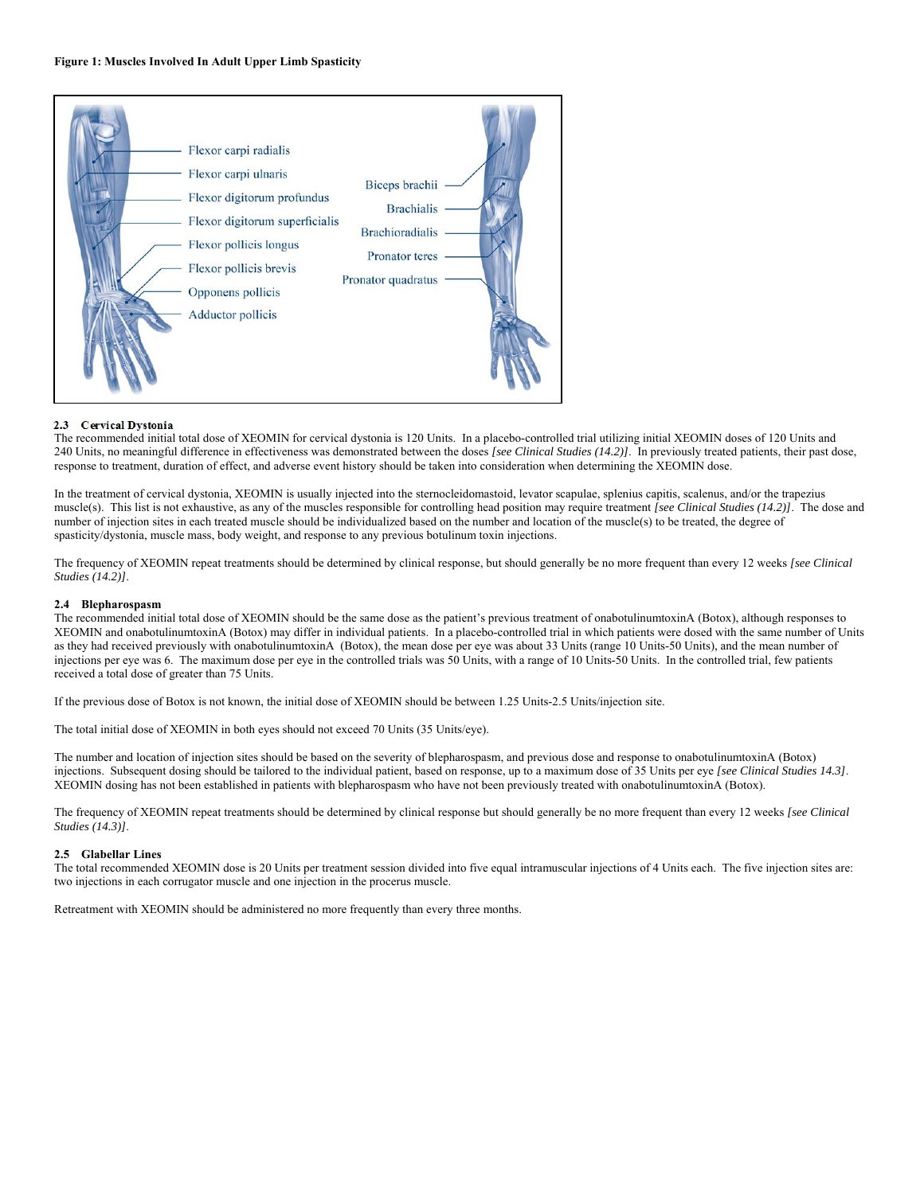

## **2.3 Cervical Dystonia**

The recommended initial total dose of XEOMIN for cervical dystonia is 120 Units. In a placebo-controlled trial utilizing initial XEOMIN doses of 120 Units and 240 Units, no meaningful difference in effectiveness was demonstrated between the doses *[see Clinical Studies (14.2)]*. In previously treated patients, their past dose, response to treatment, duration of effect, and adverse event history should be taken into consideration when determining the XEOMIN dose.

In the treatment of cervical dystonia, XEOMIN is usually injected into the sternocleidomastoid, levator scapulae, splenius capitis, scalenus, and/or the trapezius muscle(s). This list is not exhaustive, as any of the muscles responsible for controlling head position may require treatment *[see Clinical Studies (14.2)]*. The dose and number of injection sites in each treated muscle should be individualized based on the number and location of the muscle(s) to be treated, the degree of spasticity/dystonia, muscle mass, body weight, and response to any previous botulinum toxin injections.

The frequency of XEOMIN repeat treatments should be determined by clinical response, but should generally be no more frequent than every 12 weeks *[see Clinical Studies (14.2)]*.

## **2.4 Blepharospasm**

The recommended initial total dose of XEOMIN should be the same dose as the patient's previous treatment of onabotulinumtoxinA (Botox), although responses to XEOMIN and onabotulinumtoxinA (Botox) may differ in individual patients. In a placebo-controlled trial in which patients were dosed with the same number of Units as they had received previously with onabotulinumtoxinA (Botox), the mean dose per eye was about 33 Units (range 10 Units-50 Units), and the mean number of injections per eye was 6. The maximum dose per eye in the controlled trials was 50 Units, with a range of 10 Units-50 Units. In the controlled trial, few patients received a total dose of greater than 75 Units.

If the previous dose of Botox is not known, the initial dose of XEOMIN should be between 1.25 Units-2.5 Units/injection site.

The total initial dose of XEOMIN in both eyes should not exceed 70 Units (35 Units/eye).

The number and location of injection sites should be based on the severity of blepharospasm, and previous dose and response to onabotulinumtoxinA (Botox) injections. Subsequent dosing should be tailored to the individual patient, based on response, up to a maximum dose of 35 Units per eye *[see Clinical Studies 14.3]*. XEOMIN dosing has not been established in patients with blepharospasm who have not been previously treated with onabotulinumtoxinA (Botox).

The frequency of XEOMIN repeat treatments should be determined by clinical response but should generally be no more frequent than every 12 weeks *[see Clinical Studies (14.3)]*.

### **2.5 Glabellar Lines**

The total recommended XEOMIN dose is 20 Units per treatment session divided into five equal intramuscular injections of 4 Units each. The five injection sites are: two injections in each corrugator muscle and one injection in the procerus muscle.

Retreatment with XEOMIN should be administered no more frequently than every three months.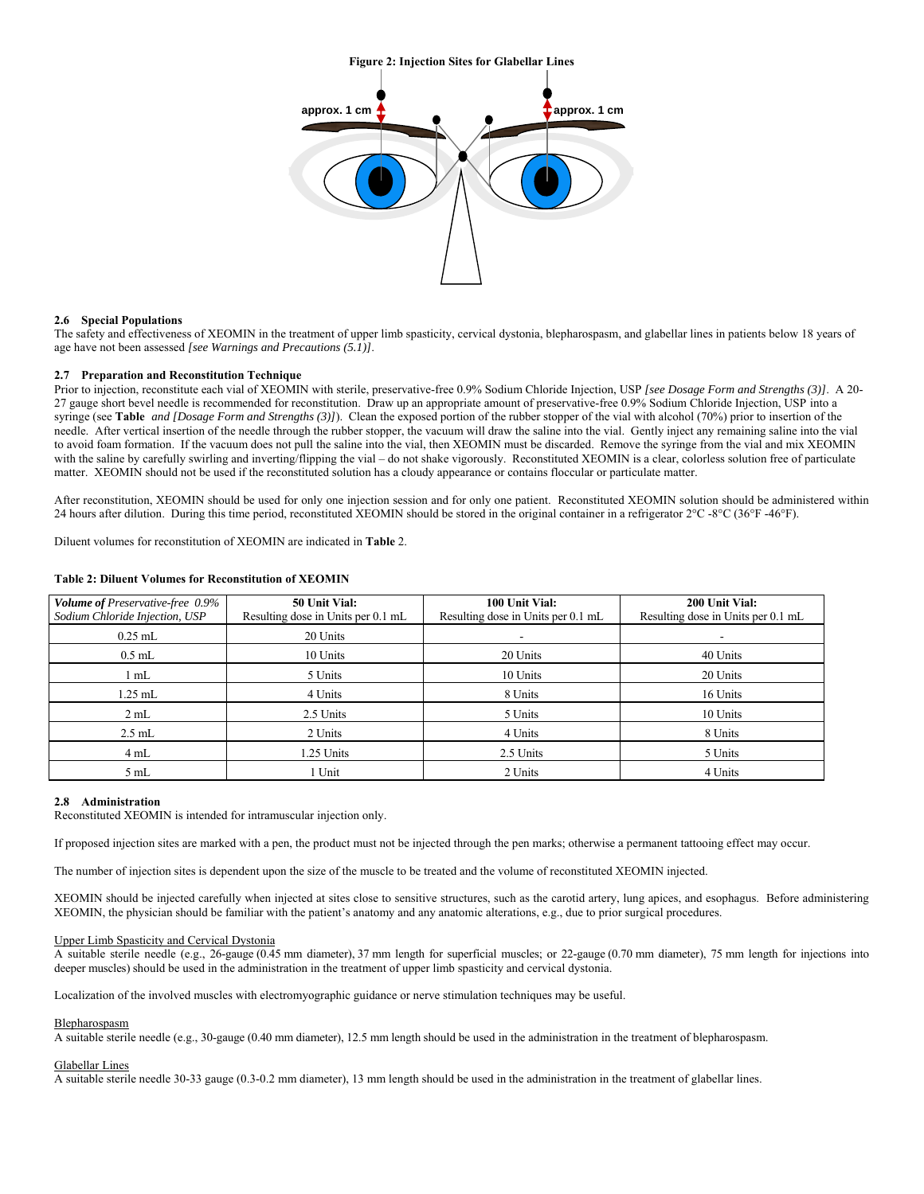**Figure 2: Injection Sites for Glabellar Lines** 



## **2.6 Special Populations**

The safety and effectiveness of XEOMIN in the treatment of upper limb spasticity, cervical dystonia, blepharospasm, and glabellar lines in patients below 18 years of age have not been assessed *[see Warnings and Precautions (5.1)]*.

#### **2.7 Preparation and Reconstitution Technique**

Prior to injection, reconstitute each vial of XEOMIN with sterile, preservative-free 0.9% Sodium Chloride Injection, USP *[see Dosage Form and Strengths (3)]*. A 20-27 gauge short bevel needle is recommended for reconstitution. Draw up an appropriate amount of preservative-free 0.9% Sodium Chloride Injection, USP into a syringe (see **Table** *and [Dosage Form and Strengths (3)]*). Clean the exposed portion of the rubber stopper of the vial with alcohol (70%) prior to insertion of the needle. After vertical insertion of the needle through the rubber stopper, the vacuum will draw the saline into the vial. Gently inject any remaining saline into the vial to avoid foam formation. If the vacuum does not pull the saline into the vial, then XEOMIN must be discarded. Remove the syringe from the vial and mix XEOMIN with the saline by carefully swirling and inverting/flipping the vial – do not shake vigorously. Reconstituted XEOMIN is a clear, colorless solution free of particulate matter. XEOMIN should not be used if the reconstituted solution has a cloudy appearance or contains floccular or particulate matter.

After reconstitution, XEOMIN should be used for only one injection session and for only one patient. Reconstituted XEOMIN solution should be administered within 24 hours after dilution. During this time period, reconstituted XEOMIN should be stored in the original container in a refrigerator 2°C -8°C (36°F -46°F).

Diluent volumes for reconstitution of XEOMIN are indicated in **Table** 2.

| <b>Volume of Preservative-free 0.9%</b> | 50 Unit Vial:                      | 100 Unit Vial:                     | 200 Unit Vial:                     |  |
|-----------------------------------------|------------------------------------|------------------------------------|------------------------------------|--|
| Sodium Chloride Injection, USP          | Resulting dose in Units per 0.1 mL | Resulting dose in Units per 0.1 mL | Resulting dose in Units per 0.1 mL |  |
| $0.25$ mL                               | 20 Units                           | ۰                                  | ۰                                  |  |
| $0.5$ mL                                | 10 Units                           | 20 Units                           | 40 Units                           |  |
| 1 mL                                    | 5 Units                            | 10 Units                           | 20 Units                           |  |
| $1.25$ mL                               | 4 Units                            | 8 Units                            | 16 Units                           |  |
| 2 mL                                    | 2.5 Units                          | 5 Units                            | 10 Units                           |  |
| $2.5$ mL                                | 2 Units                            | 4 Units                            | 8 Units                            |  |
| 4 mL                                    | 1.25 Units                         | 2.5 Units                          | 5 Units                            |  |
| 5mL                                     | 1 Unit                             | 2 Units                            | 4 Units                            |  |

## **Table 2: Diluent Volumes for Reconstitution of XEOMIN**

### **2.8 Administration**

Reconstituted XEOMIN is intended for intramuscular injection only.

If proposed injection sites are marked with a pen, the product must not be injected through the pen marks; otherwise a permanent tattooing effect may occur.

The number of injection sites is dependent upon the size of the muscle to be treated and the volume of reconstituted XEOMIN injected.

XEOMIN should be injected carefully when injected at sites close to sensitive structures, such as the carotid artery, lung apices, and esophagus. Before administering XEOMIN, the physician should be familiar with the patient's anatomy and any anatomic alterations, e.g., due to prior surgical procedures.

## Upper Limb Spasticity and Cervical Dystonia

A suitable sterile needle (e.g., 26-gauge (0.45 mm diameter), 37 mm length for superficial muscles; or 22-gauge (0.70 mm diameter), 75 mm length for injections into deeper muscles) should be used in the administration in the treatment of upper limb spasticity and cervical dystonia.

Localization of the involved muscles with electromyographic guidance or nerve stimulation techniques may be useful.

#### Blepharospasm

A suitable sterile needle (e.g., 30-gauge (0.40 mm diameter), 12.5 mm length should be used in the administration in the treatment of blepharospasm.

#### Glabellar Lines

A suitable sterile needle 30-33 gauge (0.3-0.2 mm diameter), 13 mm length should be used in the administration in the treatment of glabellar lines.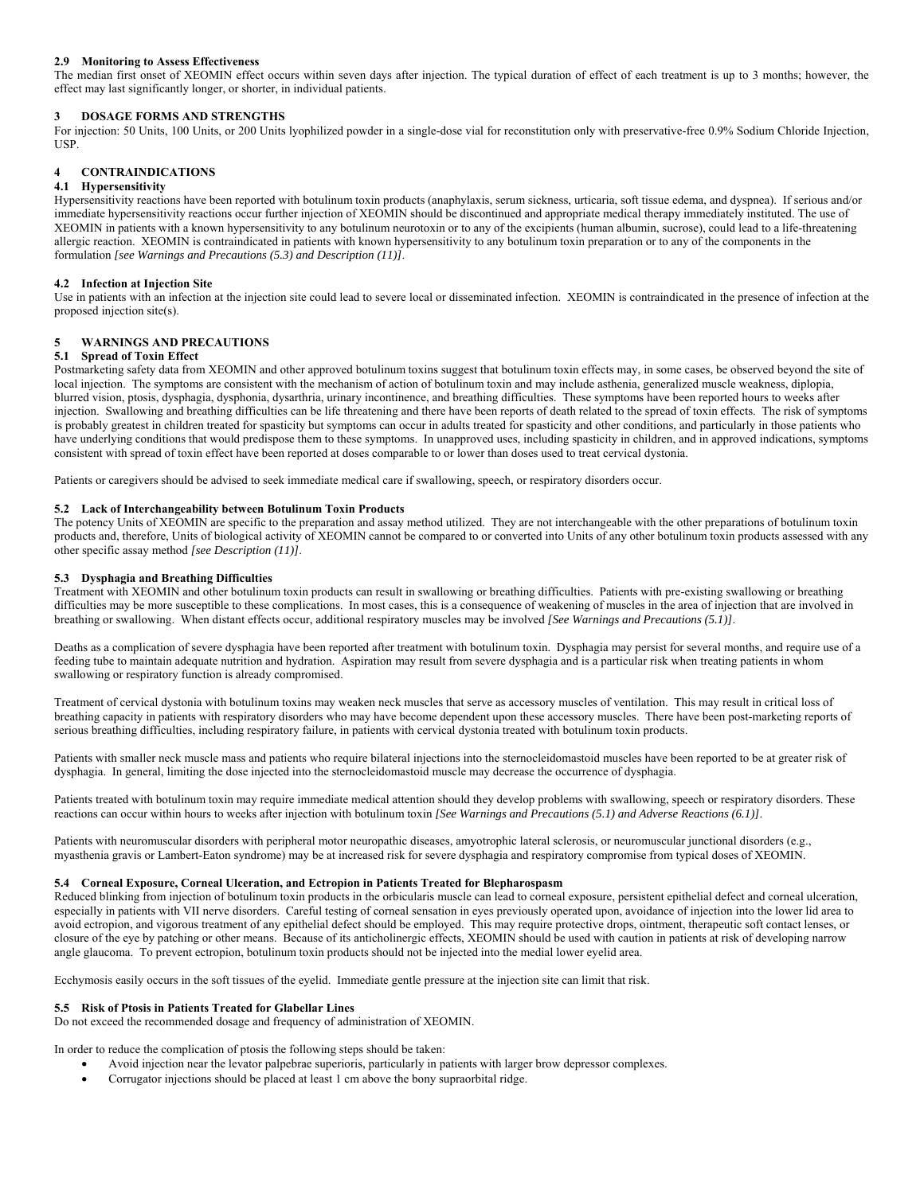## **2.9 Monitoring to Assess Effectiveness**

The median first onset of XEOMIN effect occurs within seven days after injection. The typical duration of effect of each treatment is up to 3 months; however, the effect may last significantly longer, or shorter, in individual patients.

## **3 DOSAGE FORMS AND STRENGTHS**

For injection: 50 Units, 100 Units, or 200 Units lyophilized powder in a single-dose vial for reconstitution only with preservative-free 0.9% Sodium Chloride Injection, USP.

## **4 CONTRAINDICATIONS**

## **4.1 Hypersensitivity**

Hypersensitivity reactions have been reported with botulinum toxin products (anaphylaxis, serum sickness, urticaria, soft tissue edema, and dyspnea). If serious and/or immediate hypersensitivity reactions occur further injection of XEOMIN should be discontinued and appropriate medical therapy immediately instituted. The use of XEOMIN in patients with a known hypersensitivity to any botulinum neurotoxin or to any of the excipients (human albumin, sucrose), could lead to a life-threatening allergic reaction. XEOMIN is contraindicated in patients with known hypersensitivity to any botulinum toxin preparation or to any of the components in the formulation *[see Warnings and Precautions (5.3) and Description (11)]*.

## **4.2 Infection at Injection Site**

Use in patients with an infection at the injection site could lead to severe local or disseminated infection. XEOMIN is contraindicated in the presence of infection at the proposed injection site(s).

## **5 WARNINGS AND PRECAUTIONS**

## **5.1 Spread of Toxin Effect**

Postmarketing safety data from XEOMIN and other approved botulinum toxins suggest that botulinum toxin effects may, in some cases, be observed beyond the site of local injection. The symptoms are consistent with the mechanism of action of botulinum toxin and may include asthenia, generalized muscle weakness, diplopia, blurred vision, ptosis, dysphagia, dysphonia, dysarthria, urinary incontinence, and breathing difficulties. These symptoms have been reported hours to weeks after injection. Swallowing and breathing difficulties can be life threatening and there have been reports of death related to the spread of toxin effects. The risk of symptoms is probably greatest in children treated for spasticity but symptoms can occur in adults treated for spasticity and other conditions, and particularly in those patients who have underlying conditions that would predispose them to these symptoms. In unapproved uses, including spasticity in children, and in approved indications, symptoms consistent with spread of toxin effect have been reported at doses comparable to or lower than doses used to treat cervical dystonia.

Patients or caregivers should be advised to seek immediate medical care if swallowing, speech, or respiratory disorders occur.

### **5.2 Lack of Interchangeability between Botulinum Toxin Products**

The potency Units of XEOMIN are specific to the preparation and assay method utilized. They are not interchangeable with the other preparations of botulinum toxin products and, therefore, Units of biological activity of XEOMIN cannot be compared to or converted into Units of any other botulinum toxin products assessed with any other specific assay method *[see Description (11)]*.

## **5.3 Dysphagia and Breathing Difficulties**

Treatment with XEOMIN and other botulinum toxin products can result in swallowing or breathing difficulties. Patients with pre-existing swallowing or breathing difficulties may be more susceptible to these complications. In most cases, this is a consequence of weakening of muscles in the area of injection that are involved in breathing or swallowing. When distant effects occur, additional respiratory muscles may be involved *[See Warnings and Precautions (5.1)]*.

Deaths as a complication of severe dysphagia have been reported after treatment with botulinum toxin. Dysphagia may persist for several months, and require use of a feeding tube to maintain adequate nutrition and hydration. Aspiration may result from severe dysphagia and is a particular risk when treating patients in whom swallowing or respiratory function is already compromised.

Treatment of cervical dystonia with botulinum toxins may weaken neck muscles that serve as accessory muscles of ventilation. This may result in critical loss of breathing capacity in patients with respiratory disorders who may have become dependent upon these accessory muscles. There have been post-marketing reports of serious breathing difficulties, including respiratory failure, in patients with cervical dystonia treated with botulinum toxin products.

Patients with smaller neck muscle mass and patients who require bilateral injections into the sternocleidomastoid muscles have been reported to be at greater risk of dysphagia. In general, limiting the dose injected into the sternocleidomastoid muscle may decrease the occurrence of dysphagia.

Patients treated with botulinum toxin may require immediate medical attention should they develop problems with swallowing, speech or respiratory disorders. These reactions can occur within hours to weeks after injection with botulinum toxin *[See Warnings and Precautions (5.1) and Adverse Reactions (6.1)]*.

Patients with neuromuscular disorders with peripheral motor neuropathic diseases, amyotrophic lateral sclerosis, or neuromuscular junctional disorders (e.g., myasthenia gravis or Lambert-Eaton syndrome) may be at increased risk for severe dysphagia and respiratory compromise from typical doses of XEOMIN.

## **5.4 Corneal Exposure, Corneal Ulceration, and Ectropion in Patients Treated for Blepharospasm**

Reduced blinking from injection of botulinum toxin products in the orbicularis muscle can lead to corneal exposure, persistent epithelial defect and corneal ulceration, especially in patients with VII nerve disorders. Careful testing of corneal sensation in eyes previously operated upon, avoidance of injection into the lower lid area to avoid ectropion, and vigorous treatment of any epithelial defect should be employed. This may require protective drops, ointment, therapeutic soft contact lenses, or closure of the eye by patching or other means. Because of its anticholinergic effects, XEOMIN should be used with caution in patients at risk of developing narrow angle glaucoma. To prevent ectropion, botulinum toxin products should not be injected into the medial lower eyelid area.

Ecchymosis easily occurs in the soft tissues of the eyelid. Immediate gentle pressure at the injection site can limit that risk.

### **5.5 Risk of Ptosis in Patients Treated for Glabellar Lines**

Do not exceed the recommended dosage and frequency of administration of XEOMIN.

In order to reduce the complication of ptosis the following steps should be taken:

- Avoid injection near the levator palpebrae superioris, particularly in patients with larger brow depressor complexes.
- Corrugator injections should be placed at least 1 cm above the bony supraorbital ridge.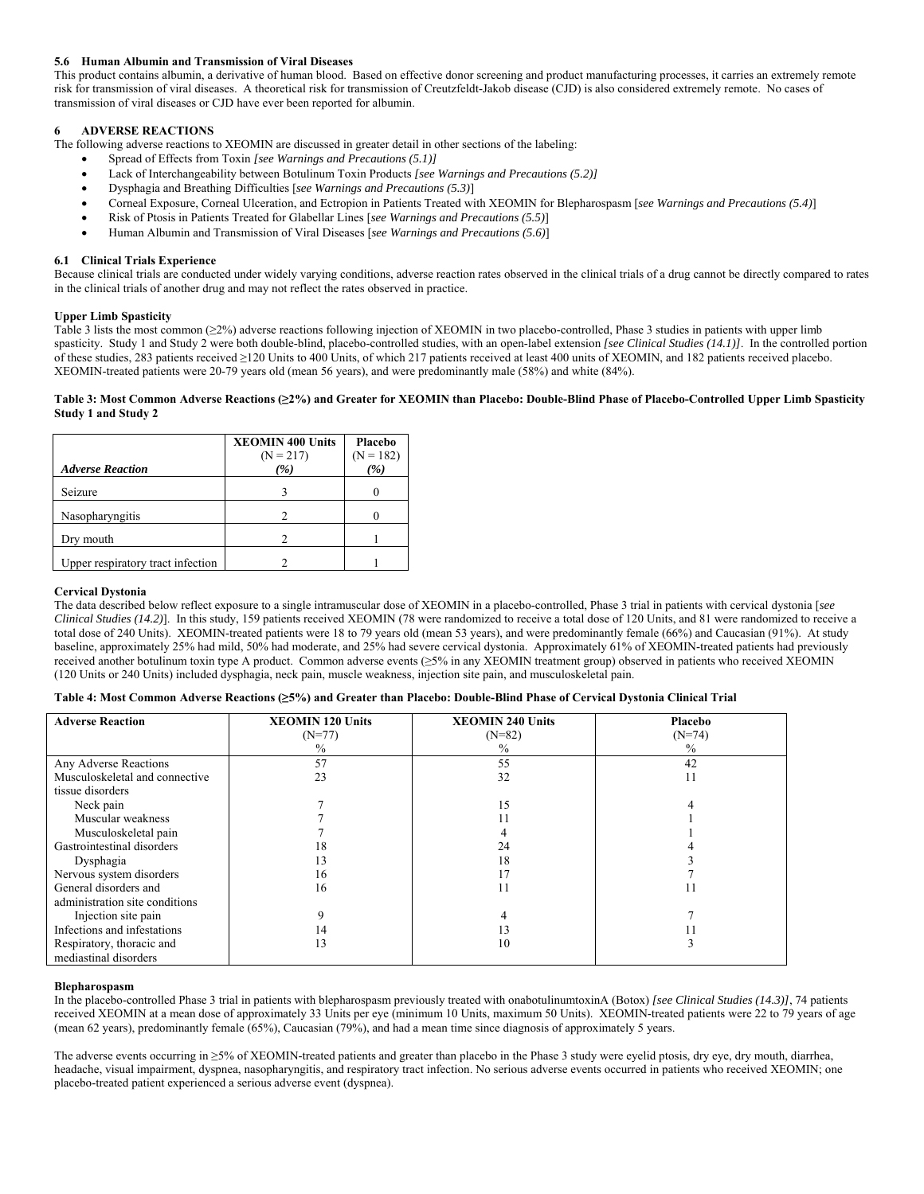## **5.6 Human Albumin and Transmission of Viral Diseases**

This product contains albumin, a derivative of human blood. Based on effective donor screening and product manufacturing processes, it carries an extremely remote risk for transmission of viral diseases. A theoretical risk for transmission of Creutzfeldt-Jakob disease (CJD) is also considered extremely remote. No cases of transmission of viral diseases or CJD have ever been reported for albumin.

## **6 ADVERSE REACTIONS**

The following adverse reactions to XEOMIN are discussed in greater detail in other sections of the labeling:

- Spread of Effects from Toxin *[see Warnings and Precautions (5.1)]*
- Lack of Interchangeability between Botulinum Toxin Products *[see Warnings and Precautions (5.2)]*
- Dysphagia and Breathing Difficulties [*see Warnings and Precautions (5.3)*]
- Corneal Exposure, Corneal Ulceration, and Ectropion in Patients Treated with XEOMIN for Blepharospasm [*see Warnings and Precautions (5.4)*]
- Risk of Ptosis in Patients Treated for Glabellar Lines [*see Warnings and Precautions (5.5)*]
- Human Albumin and Transmission of Viral Diseases [*see Warnings and Precautions (5.6)*]

## **6.1 Clinical Trials Experience**

Because clinical trials are conducted under widely varying conditions, adverse reaction rates observed in the clinical trials of a drug cannot be directly compared to rates in the clinical trials of another drug and may not reflect the rates observed in practice.

## **Upper Limb Spasticity**

Table 3 lists the most common (≥2%) adverse reactions following injection of XEOMIN in two placebo-controlled, Phase 3 studies in patients with upper limb spasticity. Study 1 and Study 2 were both double-blind, placebo-controlled studies, with an open-label extension *[see Clinical Studies (14.1)]*. In the controlled portion of these studies, 283 patients received ≥120 Units to 400 Units, of which 217 patients received at least 400 units of XEOMIN, and 182 patients received placebo. XEOMIN-treated patients were 20-79 years old (mean 56 years), and were predominantly male (58%) and white (84%).

## **Table 3: Most Common Adverse Reactions (≥2%) and Greater for XEOMIN than Placebo: Double-Blind Phase of Placebo-Controlled Upper Limb Spasticity Study 1 and Study 2**

|                                   | <b>XEOMIN 400 Units</b><br>$(N = 217)$ | Placebo<br>$(N = 182)$ |
|-----------------------------------|----------------------------------------|------------------------|
| <b>Adverse Reaction</b>           | (%)                                    | $\mathcal{C}_0$        |
| Seizure                           |                                        |                        |
| Nasopharyngitis                   |                                        |                        |
| Dry mouth                         |                                        |                        |
| Upper respiratory tract infection |                                        |                        |

## **Cervical Dystonia**

The data described below reflect exposure to a single intramuscular dose of XEOMIN in a placebo-controlled, Phase 3 trial in patients with cervical dystonia [*see Clinical Studies (14.2)*]. In this study, 159 patients received XEOMIN (78 were randomized to receive a total dose of 120 Units, and 81 were randomized to receive a total dose of 240 Units). XEOMIN-treated patients were 18 to 79 years old (mean 53 years), and were predominantly female (66%) and Caucasian (91%). At study baseline, approximately 25% had mild, 50% had moderate, and 25% had severe cervical dystonia. Approximately 61% of XEOMIN-treated patients had previously received another botulinum toxin type A product. Common adverse events (≥5% in any XEOMIN treatment group) observed in patients who received XEOMIN (120 Units or 240 Units) included dysphagia, neck pain, muscle weakness, injection site pain, and musculoskeletal pain.

| <b>Adverse Reaction</b>        | <b>XEOMIN 120 Units</b> | <b>XEOMIN 240 Units</b> | Placebo       |
|--------------------------------|-------------------------|-------------------------|---------------|
|                                | $(N=77)$                | $(N=82)$                | $(N=74)$      |
|                                | $\frac{0}{0}$           | $\frac{0}{0}$           | $\frac{0}{0}$ |
| Any Adverse Reactions          | 57                      | 55                      | 42            |
| Musculoskeletal and connective | 23                      | 32                      | 11            |
| tissue disorders               |                         |                         |               |
| Neck pain                      |                         | 15                      |               |
| Muscular weakness              |                         | 11                      |               |
| Musculoskeletal pain           |                         |                         |               |
| Gastrointestinal disorders     | 18                      | 24                      |               |
| Dysphagia                      | 13                      | 18                      |               |
| Nervous system disorders       | 16                      | 17                      |               |
| General disorders and          | 16                      | 11                      |               |
| administration site conditions |                         |                         |               |
| Injection site pain            |                         |                         |               |
| Infections and infestations    | 14                      | 13                      |               |
| Respiratory, thoracic and      | 13                      | 10                      |               |
| mediastinal disorders          |                         |                         |               |

#### **Blepharospasm**

In the placebo-controlled Phase 3 trial in patients with blepharospasm previously treated with onabotulinumtoxinA (Botox) *[see Clinical Studies (14.3)]*, 74 patients received XEOMIN at a mean dose of approximately 33 Units per eye (minimum 10 Units, maximum 50 Units). XEOMIN-treated patients were 22 to 79 years of age (mean 62 years), predominantly female (65%), Caucasian (79%), and had a mean time since diagnosis of approximately 5 years.

The adverse events occurring in ≥5% of XEOMIN-treated patients and greater than placebo in the Phase 3 study were eyelid ptosis, dry eye, dry mouth, diarrhea, headache, visual impairment, dyspnea, nasopharyngitis, and respiratory tract infection. No serious adverse events occurred in patients who received XEOMIN; one placebo-treated patient experienced a serious adverse event (dyspnea).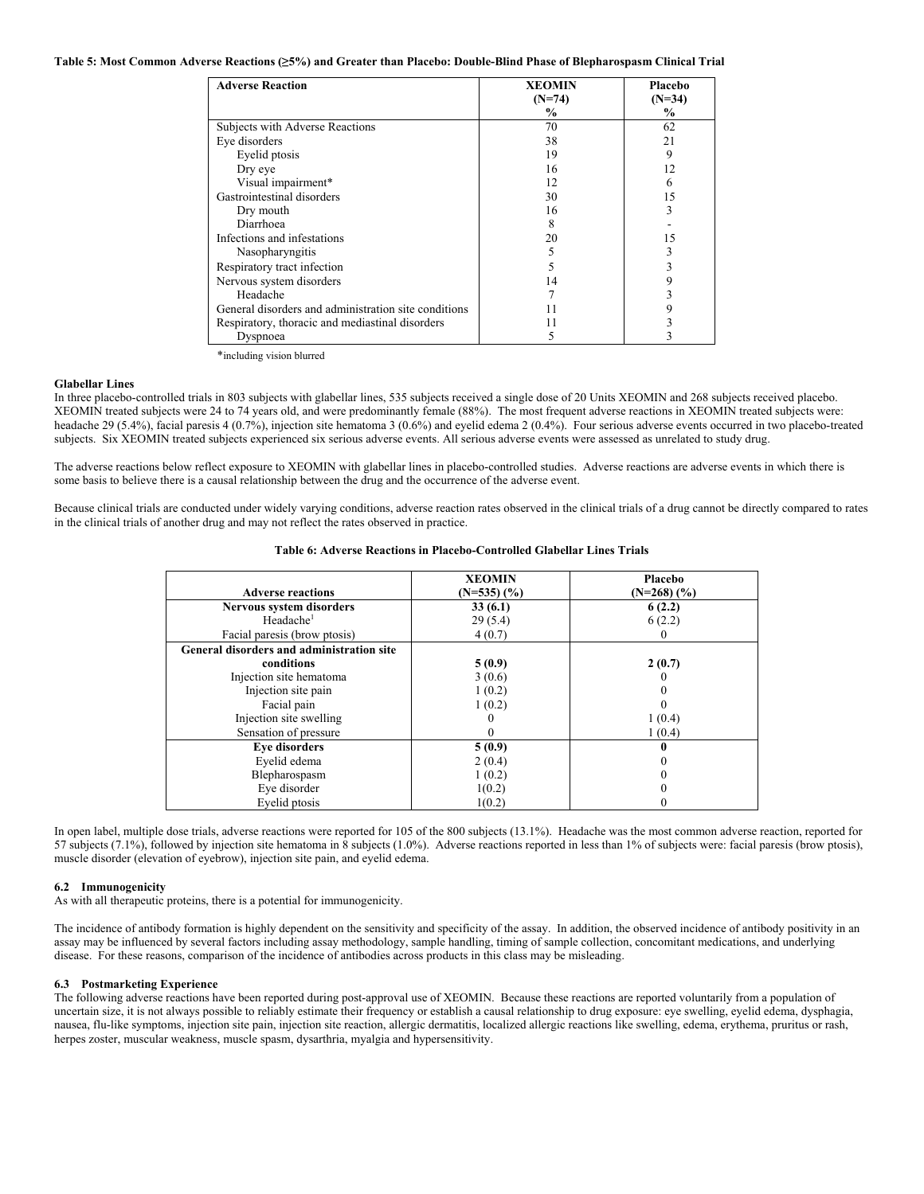| Table 5: Most Common Adverse Reactions (25%) and Greater than Placebo: Double-Blind Phase of Blepharospasm Clinical Trial |  |  |  |  |  |  |  |  |  |  |
|---------------------------------------------------------------------------------------------------------------------------|--|--|--|--|--|--|--|--|--|--|
|---------------------------------------------------------------------------------------------------------------------------|--|--|--|--|--|--|--|--|--|--|

| <b>Adverse Reaction</b>                              | <b>XEOMIN</b><br>$(N=74)$ | Placebo<br>$(N=34)$ |
|------------------------------------------------------|---------------------------|---------------------|
|                                                      | $\frac{6}{9}$             | $\frac{6}{9}$       |
| Subjects with Adverse Reactions                      | 70                        | 62                  |
| Eye disorders                                        | 38                        | 21                  |
| Eyelid ptosis                                        | 19                        | 9                   |
| Dry eye                                              | 16                        | 12                  |
| Visual impairment*                                   | 12                        |                     |
| Gastrointestinal disorders                           | 30                        | 15                  |
| Dry mouth                                            | 16                        | 3                   |
| Diarrhoea                                            | 8                         |                     |
| Infections and infestations                          | 20                        | 15                  |
| Nasopharyngitis                                      |                           |                     |
| Respiratory tract infection                          |                           |                     |
| Nervous system disorders                             | 14                        |                     |
| Headache                                             |                           |                     |
| General disorders and administration site conditions | 11                        |                     |
| Respiratory, thoracic and mediastinal disorders      | 11                        |                     |
| Dyspnoea                                             |                           |                     |

\*including vision blurred

#### **Glabellar Lines**

In three placebo-controlled trials in 803 subjects with glabellar lines, 535 subjects received a single dose of 20 Units XEOMIN and 268 subjects received placebo. XEOMIN treated subjects were 24 to 74 years old, and were predominantly female (88%). The most frequent adverse reactions in XEOMIN treated subjects were: headache 29 (5.4%), facial paresis 4 (0.7%), injection site hematoma 3 (0.6%) and eyelid edema 2 (0.4%). Four serious adverse events occurred in two placebo-treated subjects. Six XEOMIN treated subjects experienced six serious adverse events. All serious adverse events were assessed as unrelated to study drug.

The adverse reactions below reflect exposure to XEOMIN with glabellar lines in placebo-controlled studies. Adverse reactions are adverse events in which there is some basis to believe there is a causal relationship between the drug and the occurrence of the adverse event.

Because clinical trials are conducted under widely varying conditions, adverse reaction rates observed in the clinical trials of a drug cannot be directly compared to rates in the clinical trials of another drug and may not reflect the rates observed in practice.

## **Table 6: Adverse Reactions in Placebo-Controlled Glabellar Lines Trials**

| <b>Adverse reactions</b>                  | <b>XEOMIN</b><br>$(N=535)$ $(\% )$ | Placebo<br>$(N=268)$ $(\%$ |
|-------------------------------------------|------------------------------------|----------------------------|
| Nervous system disorders                  | 33(6.1)                            | 6(2.2)                     |
| Headache <sup>1</sup>                     | 29(5.4)                            | 6(2.2)                     |
| Facial paresis (brow ptosis)              | 4(0.7)                             |                            |
| General disorders and administration site |                                    |                            |
| conditions                                | 5(0.9)                             | 2(0.7)                     |
| Injection site hematoma                   | 3(0.6)                             |                            |
| Injection site pain                       | 1(0.2)                             |                            |
| Facial pain                               | 1(0.2)                             |                            |
| Injection site swelling                   |                                    | 1(0.4)                     |
| Sensation of pressure                     |                                    | 1(0.4)                     |
| <b>Eye disorders</b>                      | 5(0.9)                             |                            |
| Eyelid edema                              | 2(0.4)                             |                            |
| Blepharospasm                             | 1(0.2)                             |                            |
| Eye disorder                              | 1(0.2)                             |                            |
| Eyelid ptosis                             | 1(0.2)                             |                            |

In open label, multiple dose trials, adverse reactions were reported for 105 of the 800 subjects (13.1%). Headache was the most common adverse reaction, reported for 57 subjects (7.1%), followed by injection site hematoma in 8 subjects (1.0%). Adverse reactions reported in less than 1% of subjects were: facial paresis (brow ptosis), muscle disorder (elevation of eyebrow), injection site pain, and eyelid edema.

## **6.2 Immunogenicity**

As with all therapeutic proteins, there is a potential for immunogenicity.

The incidence of antibody formation is highly dependent on the sensitivity and specificity of the assay. In addition, the observed incidence of antibody positivity in an assay may be influenced by several factors including assay methodology, sample handling, timing of sample collection, concomitant medications, and underlying disease. For these reasons, comparison of the incidence of antibodies across products in this class may be misleading.

## **6.3 Postmarketing Experience**

The following adverse reactions have been reported during post-approval use of XEOMIN. Because these reactions are reported voluntarily from a population of uncertain size, it is not always possible to reliably estimate their frequency or establish a causal relationship to drug exposure: eye swelling, eyelid edema, dysphagia, nausea, flu-like symptoms, injection site pain, injection site reaction, allergic dermatitis, localized allergic reactions like swelling, edema, erythema, pruritus or rash, herpes zoster, muscular weakness, muscle spasm, dysarthria, myalgia and hypersensitivity.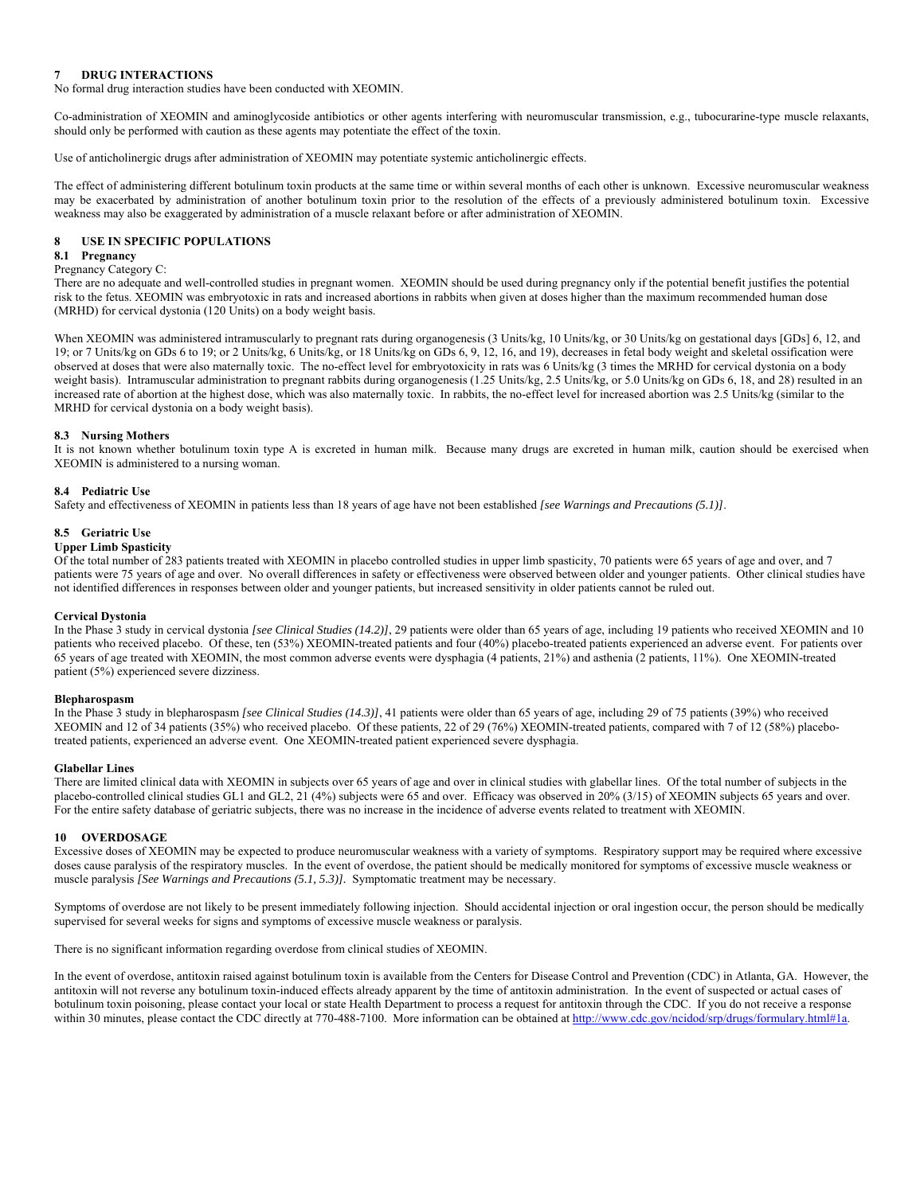## **7 DRUG INTERACTIONS**

No formal drug interaction studies have been conducted with XEOMIN.

Co-administration of XEOMIN and aminoglycoside antibiotics or other agents interfering with neuromuscular transmission, e.g., tubocurarine-type muscle relaxants, should only be performed with caution as these agents may potentiate the effect of the toxin.

Use of anticholinergic drugs after administration of XEOMIN may potentiate systemic anticholinergic effects.

The effect of administering different botulinum toxin products at the same time or within several months of each other is unknown. Excessive neuromuscular weakness may be exacerbated by administration of another botulinum toxin prior to the resolution of the effects of a previously administered botulinum toxin. Excessive weakness may also be exaggerated by administration of a muscle relaxant before or after administration of XEOMIN.

## **8 USE IN SPECIFIC POPULATIONS**

## **8.1 Pregnancy**

#### Pregnancy Category C:

There are no adequate and well-controlled studies in pregnant women. XEOMIN should be used during pregnancy only if the potential benefit justifies the potential risk to the fetus. XEOMIN was embryotoxic in rats and increased abortions in rabbits when given at doses higher than the maximum recommended human dose (MRHD) for cervical dystonia (120 Units) on a body weight basis.

When XEOMIN was administered intramuscularly to pregnant rats during organogenesis (3 Units/kg, 10 Units/kg, or 30 Units/kg on gestational days [GDs] 6, 12, and 19; or 7 Units/kg on GDs 6 to 19; or 2 Units/kg, 6 Units/kg, or 18 Units/kg on GDs 6, 9, 12, 16, and 19), decreases in fetal body weight and skeletal ossification were observed at doses that were also maternally toxic. The no-effect level for embryotoxicity in rats was 6 Units/kg (3 times the MRHD for cervical dystonia on a body weight basis). Intramuscular administration to pregnant rabbits during organogenesis (1.25 Units/kg, 2.5 Units/kg, or 5.0 Units/kg on GDs 6, 18, and 28) resulted in an increased rate of abortion at the highest dose, which was also maternally toxic. In rabbits, the no-effect level for increased abortion was 2.5 Units/kg (similar to the MRHD for cervical dystonia on a body weight basis).

### **8.3 Nursing Mothers**

It is not known whether botulinum toxin type A is excreted in human milk. Because many drugs are excreted in human milk, caution should be exercised when XEOMIN is administered to a nursing woman.

#### **8.4 Pediatric Use**

Safety and effectiveness of XEOMIN in patients less than 18 years of age have not been established *[see Warnings and Precautions (5.1)]*.

#### **8.5 Geriatric Use**

#### **Upper Limb Spasticity**

Of the total number of 283 patients treated with XEOMIN in placebo controlled studies in upper limb spasticity, 70 patients were 65 years of age and over, and 7 patients were 75 years of age and over. No overall differences in safety or effectiveness were observed between older and younger patients. Other clinical studies have not identified differences in responses between older and younger patients, but increased sensitivity in older patients cannot be ruled out.

## **Cervical Dystonia**

In the Phase 3 study in cervical dystonia *[see Clinical Studies (14.2)]*, 29 patients were older than 65 years of age, including 19 patients who received XEOMIN and 10 patients who received placebo. Of these, ten (53%) XEOMIN-treated patients and four (40%) placebo-treated patients experienced an adverse event. For patients over 65 years of age treated with XEOMIN, the most common adverse events were dysphagia (4 patients, 21%) and asthenia (2 patients, 11%). One XEOMIN-treated patient (5%) experienced severe dizziness.

#### **Blepharospasm**

In the Phase 3 study in blepharospasm *[see Clinical Studies (14.3)]*, 41 patients were older than 65 years of age, including 29 of 75 patients (39%) who received XEOMIN and 12 of 34 patients (35%) who received placebo. Of these patients, 22 of 29 (76%) XEOMIN-treated patients, compared with 7 of 12 (58%) placebotreated patients, experienced an adverse event. One XEOMIN-treated patient experienced severe dysphagia.

#### **Glabellar Lines**

There are limited clinical data with XEOMIN in subjects over 65 years of age and over in clinical studies with glabellar lines. Of the total number of subjects in the placebo-controlled clinical studies GL1 and GL2, 21 (4%) subjects were 65 and over. Efficacy was observed in 20% (3/15) of XEOMIN subjects 65 years and over. For the entire safety database of geriatric subjects, there was no increase in the incidence of adverse events related to treatment with XEOMIN.

#### **10 OVERDOSAGE**

Excessive doses of XEOMIN may be expected to produce neuromuscular weakness with a variety of symptoms. Respiratory support may be required where excessive doses cause paralysis of the respiratory muscles. In the event of overdose, the patient should be medically monitored for symptoms of excessive muscle weakness or muscle paralysis *[See Warnings and Precautions (5.1, 5.3)].* Symptomatic treatment may be necessary.

Symptoms of overdose are not likely to be present immediately following injection. Should accidental injection or oral ingestion occur, the person should be medically supervised for several weeks for signs and symptoms of excessive muscle weakness or paralysis.

There is no significant information regarding overdose from clinical studies of XEOMIN.

In the event of overdose, antitoxin raised against botulinum toxin is available from the Centers for Disease Control and Prevention (CDC) in Atlanta, GA. However, the antitoxin will not reverse any botulinum toxin-induced effects already apparent by the time of antitoxin administration. In the event of suspected or actual cases of botulinum toxin poisoning, please contact your local or state Health Department to process a request for antitoxin through the CDC. If you do not receive a response within 30 minutes, please contact the CDC directly at 770-488-7100. More information can be obtained at http://www.cdc.gov/ncidod/srp/drugs/formulary.html#1a.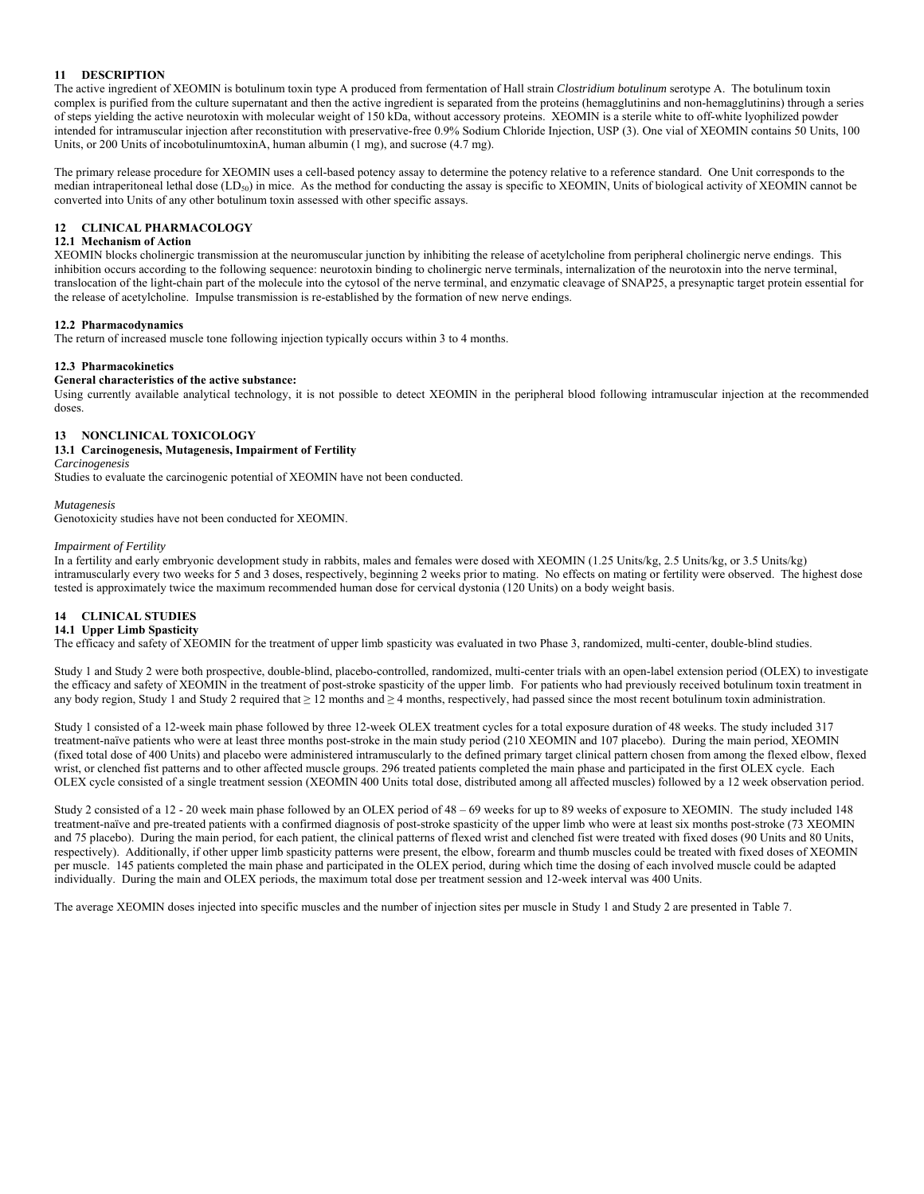## **11 DESCRIPTION**

The active ingredient of XEOMIN is botulinum toxin type A produced from fermentation of Hall strain *Clostridium botulinum* serotype A. The botulinum toxin complex is purified from the culture supernatant and then the active ingredient is separated from the proteins (hemagglutinins and non-hemagglutinins) through a series of steps yielding the active neurotoxin with molecular weight of 150 kDa, without accessory proteins. XEOMIN is a sterile white to off-white lyophilized powder intended for intramuscular injection after reconstitution with preservative-free 0.9% Sodium Chloride Injection, USP (3). One vial of XEOMIN contains 50 Units, 100 Units, or 200 Units of incobotulinumtoxinA, human albumin (1 mg), and sucrose (4.7 mg).

The primary release procedure for XEOMIN uses a cell-based potency assay to determine the potency relative to a reference standard. One Unit corresponds to the median intraperitoneal lethal dose (LD<sub>50</sub>) in mice. As the method for conducting the assay is specific to XEOMIN, Units of biological activity of XEOMIN cannot be converted into Units of any other botulinum toxin assessed with other specific assays.

## **12 CLINICAL PHARMACOLOGY**

### **12.1 Mechanism of Action**

XEOMIN blocks cholinergic transmission at the neuromuscular junction by inhibiting the release of acetylcholine from peripheral cholinergic nerve endings. This inhibition occurs according to the following sequence: neurotoxin binding to cholinergic nerve terminals, internalization of the neurotoxin into the nerve terminal, translocation of the light-chain part of the molecule into the cytosol of the nerve terminal, and enzymatic cleavage of SNAP25, a presynaptic target protein essential for the release of acetylcholine. Impulse transmission is re-established by the formation of new nerve endings.

### **12.2 Pharmacodynamics**

The return of increased muscle tone following injection typically occurs within 3 to 4 months.

### **12.3 Pharmacokinetics**

## **General characteristics of the active substance:**

Using currently available analytical technology, it is not possible to detect XEOMIN in the peripheral blood following intramuscular injection at the recommended doses.

### **13 NONCLINICAL TOXICOLOGY**

## **13.1 Carcinogenesis, Mutagenesis, Impairment of Fertility**

*Carcinogenesis*

Studies to evaluate the carcinogenic potential of XEOMIN have not been conducted.

#### *Mutagenesis*

Genotoxicity studies have not been conducted for XEOMIN.

#### *Impairment of Fertility*

In a fertility and early embryonic development study in rabbits, males and females were dosed with XEOMIN (1.25 Units/kg, 2.5 Units/kg, or 3.5 Units/kg) intramuscularly every two weeks for 5 and 3 doses, respectively, beginning 2 weeks prior to mating. No effects on mating or fertility were observed. The highest dose tested is approximately twice the maximum recommended human dose for cervical dystonia (120 Units) on a body weight basis.

## **14 CLINICAL STUDIES**

#### **14.1 Upper Limb Spasticity**

The efficacy and safety of XEOMIN for the treatment of upper limb spasticity was evaluated in two Phase 3, randomized, multi-center, double-blind studies.

Study 1 and Study 2 were both prospective, double-blind, placebo-controlled, randomized, multi-center trials with an open-label extension period (OLEX) to investigate the efficacy and safety of XEOMIN in the treatment of post-stroke spasticity of the upper limb. For patients who had previously received botulinum toxin treatment in any body region, Study 1 and Study 2 required that  $\geq$  12 months and  $\geq$  4 months, respectively, had passed since the most recent botulinum toxin administration.

Study 1 consisted of a 12-week main phase followed by three 12-week OLEX treatment cycles for a total exposure duration of 48 weeks. The study included 317 treatment-naïve patients who were at least three months post-stroke in the main study period (210 XEOMIN and 107 placebo). During the main period, XEOMIN (fixed total dose of 400 Units) and placebo were administered intramuscularly to the defined primary target clinical pattern chosen from among the flexed elbow, flexed wrist, or clenched fist patterns and to other affected muscle groups. 296 treated patients completed the main phase and participated in the first OLEX cycle. Each OLEX cycle consisted of a single treatment session (XEOMIN 400 Units total dose, distributed among all affected muscles) followed by a 12 week observation period.

Study 2 consisted of a 12 - 20 week main phase followed by an OLEX period of 48 – 69 weeks for up to 89 weeks of exposure to XEOMIN. The study included 148 treatment-naïve and pre-treated patients with a confirmed diagnosis of post-stroke spasticity of the upper limb who were at least six months post-stroke (73 XEOMIN and 75 placebo). During the main period, for each patient, the clinical patterns of flexed wrist and clenched fist were treated with fixed doses (90 Units and 80 Units, respectively). Additionally, if other upper limb spasticity patterns were present, the elbow, forearm and thumb muscles could be treated with fixed doses of XEOMIN per muscle. 145 patients completed the main phase and participated in the OLEX period, during which time the dosing of each involved muscle could be adapted individually. During the main and OLEX periods, the maximum total dose per treatment session and 12-week interval was 400 Units.

The average XEOMIN doses injected into specific muscles and the number of injection sites per muscle in Study 1 and Study 2 are presented in Table 7.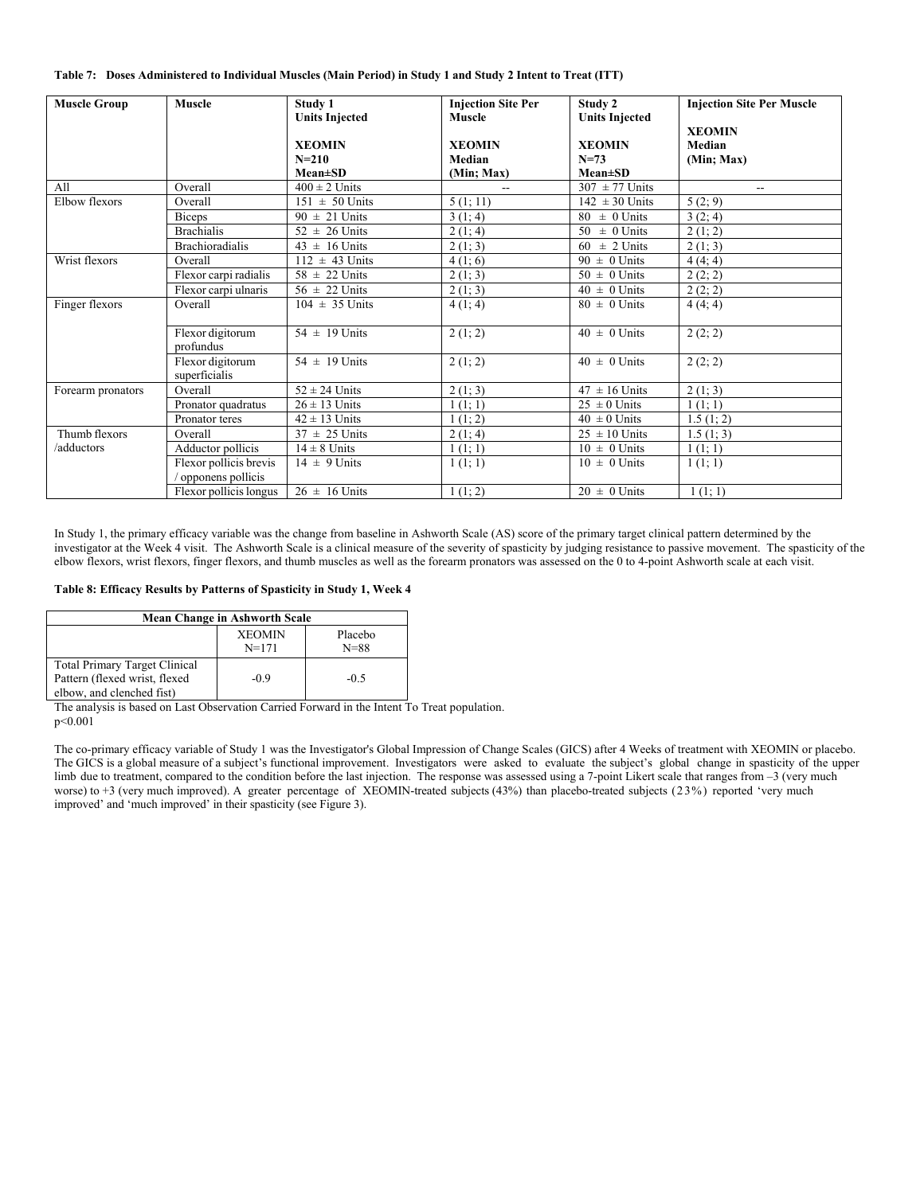|  |  |  |  |  | Table 7: Doses Administered to Individual Muscles (Main Period) in Study 1 and Study 2 Intent to Treat (ITT) |
|--|--|--|--|--|--------------------------------------------------------------------------------------------------------------|
|--|--|--|--|--|--------------------------------------------------------------------------------------------------------------|

| <b>Muscle Group</b> | <b>Muscle</b>                     | Study 1<br><b>Units Injected</b> | <b>Injection Site Per</b><br><b>Muscle</b> | Study 2<br><b>Units Injected</b> | <b>Injection Site Per Muscle</b> |
|---------------------|-----------------------------------|----------------------------------|--------------------------------------------|----------------------------------|----------------------------------|
|                     |                                   |                                  |                                            |                                  | <b>XEOMIN</b>                    |
|                     |                                   | <b>XEOMIN</b>                    | <b>XEOMIN</b>                              | <b>XEOMIN</b>                    | Median                           |
|                     |                                   | $N = 210$                        | Median                                     | $N = 73$                         | (Min; Max)                       |
|                     |                                   | $Mean \pm SD$                    | (Min; Max)                                 | $Mean \pm SD$                    |                                  |
| All                 | Overall                           | $400 \pm 2$ Units                | $\overline{\phantom{a}}$                   | $307 \pm 77$ Units               | $\sim$                           |
| Elbow flexors       | Overall                           | $151 \pm 50$ Units               | 5(1; 11)                                   | $142 \pm 30$ Units               | 5(2; 9)                          |
|                     | <b>Biceps</b>                     | $90 \pm 21$ Units                | 3(1; 4)                                    | $80 \pm 0$ Units                 | 3(2; 4)                          |
|                     | <b>Brachialis</b>                 | $52 \pm 26$ Units                | 2(1; 4)                                    | $\pm$ 0 Units<br>50              | 2(1; 2)                          |
|                     | <b>Brachioradialis</b>            | $43 \pm 16$ Units                | 2(1; 3)                                    | $\pm$ 2 Units<br>60              | 2(1; 3)                          |
| Wrist flexors       | Overall                           | $112 \pm 43$ Units               | 4(1; 6)                                    | $90 \pm 0$ Units                 | 4(4; 4)                          |
|                     | Flexor carpi radialis             | $58 \pm 22$ Units                | 2(1; 3)                                    | $50 \pm 0$ Units                 | 2(2; 2)                          |
|                     | Flexor carpi ulnaris              | $56 \pm 22$ Units                | 2(1; 3)                                    | $40 \pm 0$ Units                 | 2(2; 2)                          |
| Finger flexors      | Overall                           | $104 \pm 35$ Units               | 4(1; 4)                                    | $80 \pm 0$ Units                 | 4(4; 4)                          |
|                     | Flexor digitorum<br>profundus     | $54 \pm 19$ Units                | 2(1; 2)                                    | $40 \pm 0$ Units                 | 2(2; 2)                          |
|                     | Flexor digitorum<br>superficialis | $54 \pm 19$ Units                | 2(1; 2)                                    | $40 \pm 0$ Units                 | 2(2; 2)                          |
| Forearm pronators   | Overall                           | $52 \pm 24$ Units                | 2(1; 3)                                    | $47 \pm 16$ Units                | 2(1; 3)                          |
|                     | Pronator quadratus                | $26 \pm 13$ Units                | 1(1; 1)                                    | $25 \pm 0$ Units                 | 1(1; 1)                          |
|                     | Pronator teres                    | $42 \pm 13$ Units                | 1(1; 2)                                    | $40 \pm 0$ Units                 | 1.5(1; 2)                        |
| Thumb flexors       | Overall                           | $37 \pm 25$ Units                | 2(1, 4)                                    | $25 \pm 10$ Units                | 1.5(1; 3)                        |
| /adductors          | Adductor pollicis                 | $14 \pm 8$ Units                 | 1(1; 1)                                    | $10 \pm 0$ Units                 | 1(1; 1)                          |
|                     | Flexor pollicis brevis            | $14 \pm 9$ Units                 | 1(1; 1)                                    | $10 \pm 0$ Units                 | 1(1; 1)                          |
|                     | opponens pollicis                 |                                  |                                            |                                  |                                  |
|                     | Flexor pollicis longus            | $26 \pm 16$ Units                | 1(1; 2)                                    | $20 \pm 0$ Units                 | 1(1; 1)                          |

In Study 1, the primary efficacy variable was the change from baseline in Ashworth Scale (AS) score of the primary target clinical pattern determined by the investigator at the Week 4 visit. The Ashworth Scale is a clinical measure of the severity of spasticity by judging resistance to passive movement. The spasticity of the elbow flexors, wrist flexors, finger flexors, and thumb muscles as well as the forearm pronators was assessed on the 0 to 4-point Ashworth scale at each visit.

## **Table 8: Efficacy Results by Patterns of Spasticity in Study 1, Week 4**

| <b>Mean Change in Ashworth Scale</b>                                                               |                            |                     |  |  |  |
|----------------------------------------------------------------------------------------------------|----------------------------|---------------------|--|--|--|
|                                                                                                    | <b>XEOMIN</b><br>$N = 171$ | Placebo<br>$N = 88$ |  |  |  |
| <b>Total Primary Target Clinical</b><br>Pattern (flexed wrist, flexed<br>elbow, and clenched fist) | $-0.9$                     | $-0.5$              |  |  |  |

The analysis is based on Last Observation Carried Forward in the Intent To Treat population. p<0.001

The co-primary efficacy variable of Study 1 was the Investigator's Global Impression of Change Scales (GICS) after 4 Weeks of treatment with XEOMIN or placebo. The GICS is a global measure of a subject's functional improvement. Investigators were asked to evaluate the subject's global change in spasticity of the upper limb due to treatment, compared to the condition before the last injection. The response was assessed using a 7-point Likert scale that ranges from -3 (very much worse) to +3 (very much improved). A greater percentage of XEOMIN-treated subjects (43%) than placebo-treated subjects (23%) reported 'very much improved' and 'much improved' in their spasticity (see Figure 3).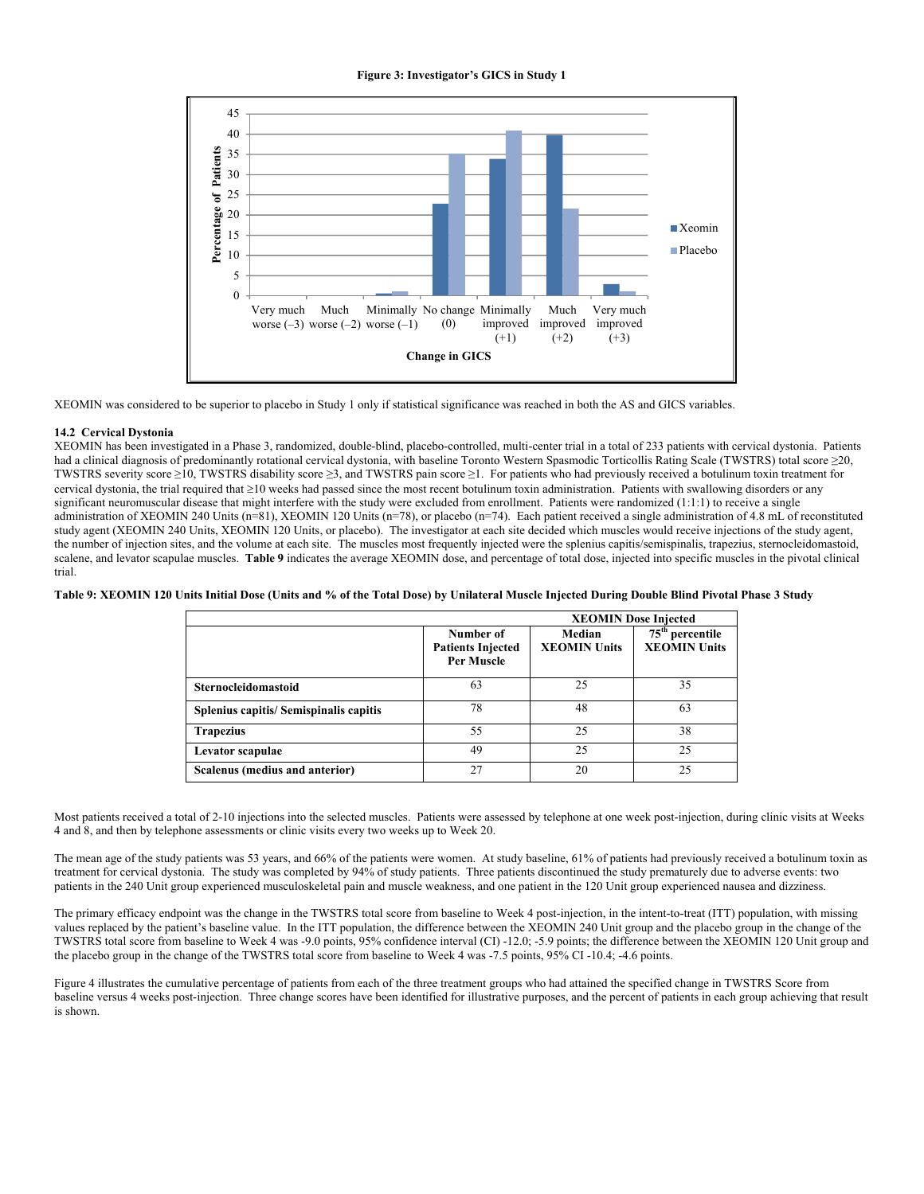## **Figure 3: Investigator's GICS in Study 1**



XEOMIN was considered to be superior to placebo in Study 1 only if statistical significance was reached in both the AS and GICS variables.

#### **14.2 Cervical Dystonia**

XEOMIN has been investigated in a Phase 3, randomized, double-blind, placebo-controlled, multi-center trial in a total of 233 patients with cervical dystonia. Patients had a clinical diagnosis of predominantly rotational cervical dystonia, with baseline Toronto Western Spasmodic Torticollis Rating Scale (TWSTRS) total score ≥20, TWSTRS severity score ≥10, TWSTRS disability score ≥3, and TWSTRS pain score ≥1. For patients who had previously received a botulinum toxin treatment for cervical dystonia, the trial required that  $\geq 10$  weeks had passed since the most recent botulinum toxin administration. Patients with swallowing disorders or any significant neuromuscular disease that might interfere with the study were excluded from enrollment. Patients were randomized (1:1:1) to receive a single administration of XEOMIN 240 Units (n=81), XEOMIN 120 Units (n=78), or placebo (n=74). Each patient received a single administration of 4.8 mL of reconstituted study agent (XEOMIN 240 Units, XEOMIN 120 Units, or placebo). The investigator at each site decided which muscles would receive injections of the study agent, the number of injection sites, and the volume at each site. The muscles most frequently injected were the splenius capitis/semispinalis, trapezius, sternocleidomastoid, scalene, and levator scapulae muscles. **Table 9** indicates the average XEOMIN dose, and percentage of total dose, injected into specific muscles in the pivotal clinical trial.

**Table 9: XEOMIN 120 Units Initial Dose (Units and % of the Total Dose) by Unilateral Muscle Injected During Double Blind Pivotal Phase 3 Study** 

|                                        | <b>XEOMIN Dose Injected</b>                         |                               |                                                    |  |  |
|----------------------------------------|-----------------------------------------------------|-------------------------------|----------------------------------------------------|--|--|
|                                        | Number of<br><b>Patients Injected</b><br>Per Muscle | Median<br><b>XEOMIN Units</b> | 75 <sup>th</sup> percentile<br><b>XEOMIN Units</b> |  |  |
| Sternocleidomastoid                    | 63                                                  | 25                            | 35                                                 |  |  |
| Splenius capitis/ Semispinalis capitis | 78                                                  | 48                            | 63                                                 |  |  |
| <b>Trapezius</b>                       | 55                                                  | 25                            | 38                                                 |  |  |
| Levator scapulae                       | 49                                                  | 25                            | 25                                                 |  |  |
| Scalenus (medius and anterior)         | 27                                                  | 20                            | 25                                                 |  |  |

Most patients received a total of 2-10 injections into the selected muscles. Patients were assessed by telephone at one week post-injection, during clinic visits at Weeks 4 and 8, and then by telephone assessments or clinic visits every two weeks up to Week 20.

The mean age of the study patients was 53 years, and 66% of the patients were women. At study baseline, 61% of patients had previously received a botulinum toxin as treatment for cervical dystonia. The study was completed by 94% of study patients. Three patients discontinued the study prematurely due to adverse events: two patients in the 240 Unit group experienced musculoskeletal pain and muscle weakness, and one patient in the 120 Unit group experienced nausea and dizziness.

The primary efficacy endpoint was the change in the TWSTRS total score from baseline to Week 4 post-injection, in the intent-to-treat (ITT) population, with missing values replaced by the patient's baseline value. In the ITT population, the difference between the XEOMIN 240 Unit group and the placebo group in the change of the TWSTRS total score from baseline to Week 4 was -9.0 points, 95% confidence interval (CI) -12.0; -5.9 points; the difference between the XEOMIN 120 Unit group and the placebo group in the change of the TWSTRS total score from baseline to Week 4 was -7.5 points, 95% CI -10.4; -4.6 points.

Figure 4 illustrates the cumulative percentage of patients from each of the three treatment groups who had attained the specified change in TWSTRS Score from baseline versus 4 weeks post-injection. Three change scores have been identified for illustrative purposes, and the percent of patients in each group achieving that result is shown.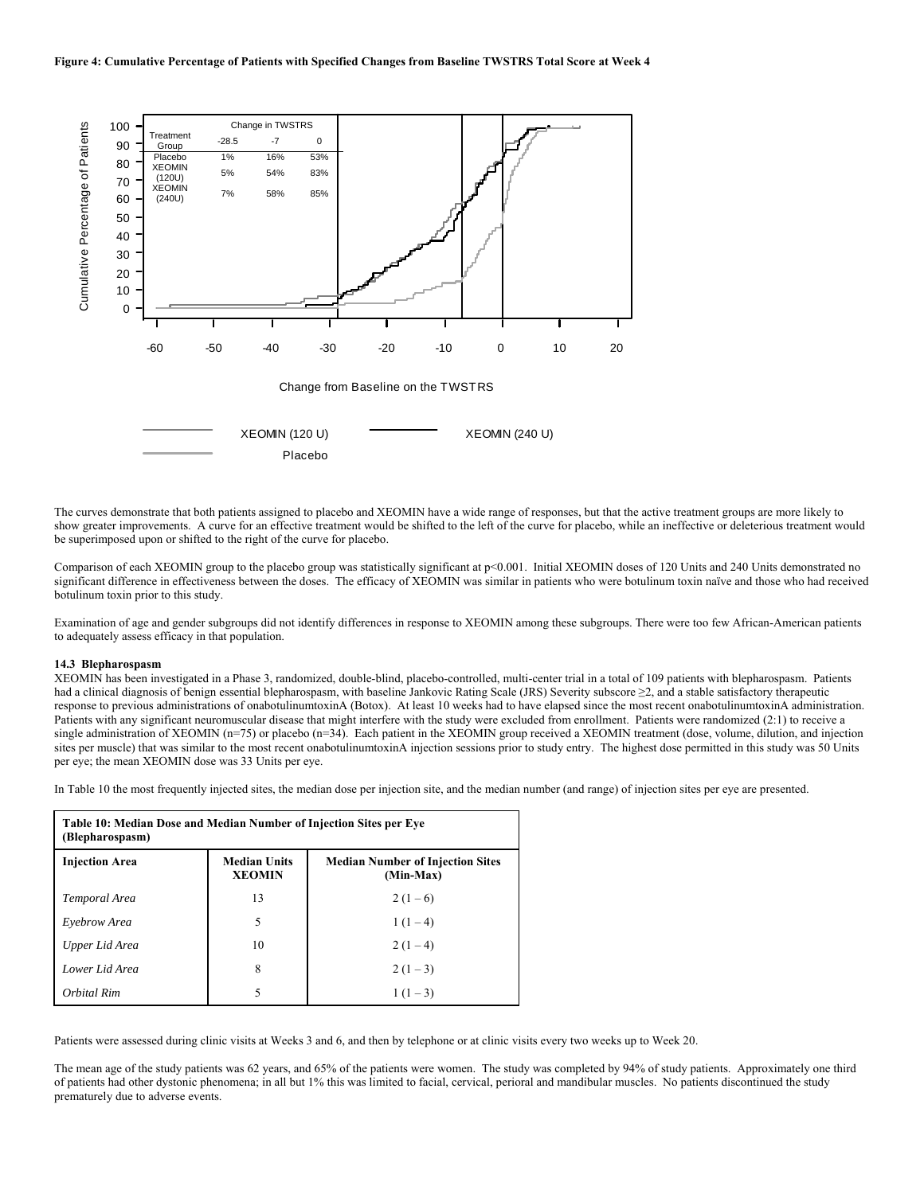

The curves demonstrate that both patients assigned to placebo and XEOMIN have a wide range of responses, but that the active treatment groups are more likely to show greater improvements. A curve for an effective treatment would be shifted to the left of the curve for placebo, while an ineffective or deleterious treatment would be superimposed upon or shifted to the right of the curve for placebo.

Comparison of each XEOMIN group to the placebo group was statistically significant at p<0.001. Initial XEOMIN doses of 120 Units and 240 Units demonstrated no significant difference in effectiveness between the doses. The efficacy of XEOMIN was similar in patients who were botulinum toxin naïve and those who had received botulinum toxin prior to this study.

Examination of age and gender subgroups did not identify differences in response to XEOMIN among these subgroups. There were too few African-American patients to adequately assess efficacy in that population.

#### **14.3 Blepharospasm**

XEOMIN has been investigated in a Phase 3, randomized, double-blind, placebo-controlled, multi-center trial in a total of 109 patients with blepharospasm. Patients had a clinical diagnosis of benign essential blepharospasm, with baseline Jankovic Rating Scale (JRS) Severity subscore ≥2, and a stable satisfactory therapeutic response to previous administrations of onabotulinumtoxinA (Botox). At least 10 weeks had to have elapsed since the most recent onabotulinumtoxinA administration. Patients with any significant neuromuscular disease that might interfere with the study were excluded from enrollment. Patients were randomized (2:1) to receive a single administration of XEOMIN ( $n=75$ ) or placebo ( $n=34$ ). Each patient in the XEOMIN group received a XEOMIN treatment (dose, volume, dilution, and injection sites per muscle) that was similar to the most recent onabotulinumtoxinA injection sessions prior to study entry. The highest dose permitted in this study was 50 Units per eye; the mean XEOMIN dose was 33 Units per eye.

In Table 10 the most frequently injected sites, the median dose per injection site, and the median number (and range) of injection sites per eye are presented.

| Table 10: Median Dose and Median Number of Injection Sites per Eye<br>(Blepharospasm) |                                      |                                                      |  |  |  |
|---------------------------------------------------------------------------------------|--------------------------------------|------------------------------------------------------|--|--|--|
| <b>Injection Area</b>                                                                 | <b>Median Units</b><br><b>XEOMIN</b> | <b>Median Number of Injection Sites</b><br>(Min-Max) |  |  |  |
| Temporal Area                                                                         | 13                                   | $2(1-6)$                                             |  |  |  |
| Evebrow Area                                                                          | 5                                    | $1(1-4)$                                             |  |  |  |
| Upper Lid Area                                                                        | 10                                   | $2(1-4)$                                             |  |  |  |
| Lower Lid Area                                                                        | 8                                    | $2(1-3)$                                             |  |  |  |
| Orbital Rim                                                                           | 5                                    | $1(1-3)$                                             |  |  |  |

Patients were assessed during clinic visits at Weeks 3 and 6, and then by telephone or at clinic visits every two weeks up to Week 20.

The mean age of the study patients was 62 years, and 65% of the patients were women. The study was completed by 94% of study patients. Approximately one third of patients had other dystonic phenomena; in all but 1% this was limited to facial, cervical, perioral and mandibular muscles. No patients discontinued the study prematurely due to adverse events.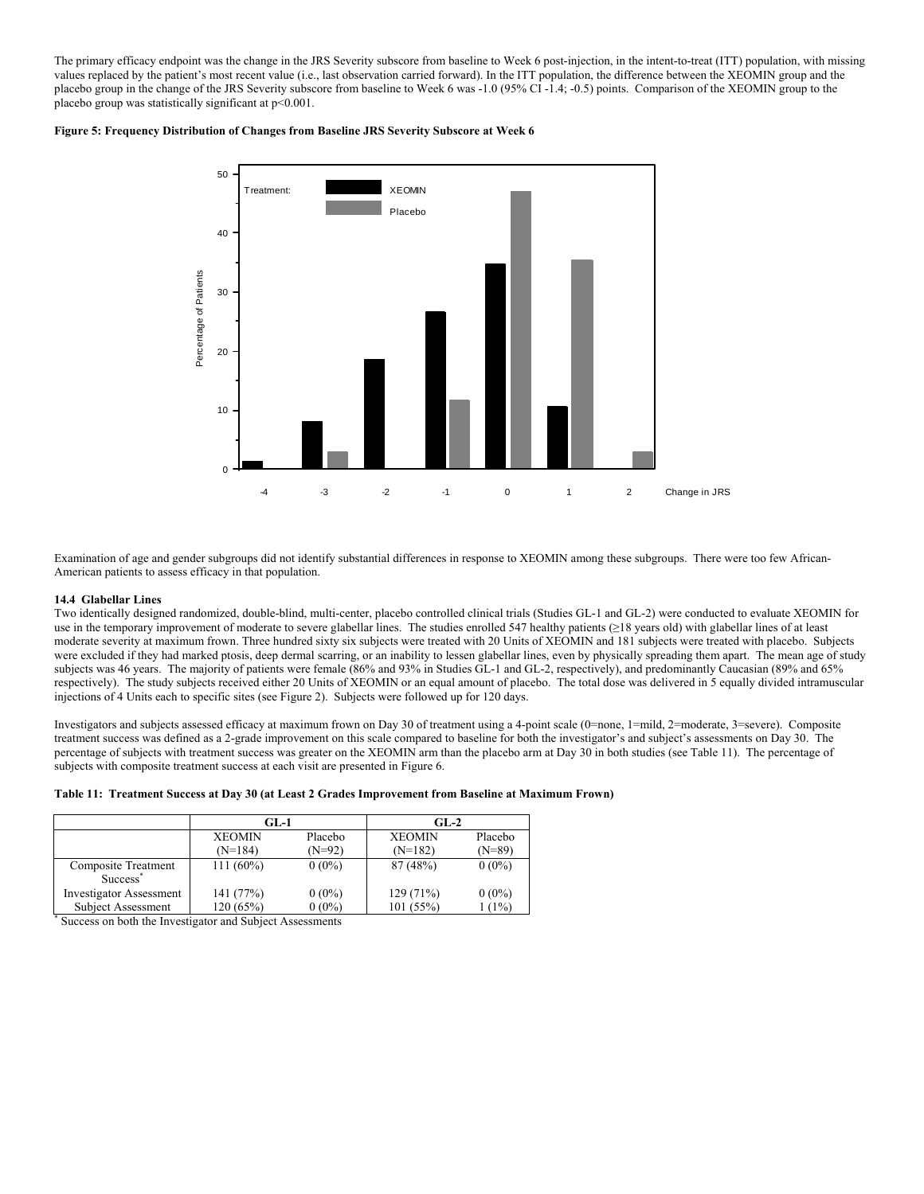The primary efficacy endpoint was the change in the JRS Severity subscore from baseline to Week 6 post-injection, in the intent-to-treat (ITT) population, with missing values replaced by the patient's most recent value (i.e., last observation carried forward). In the ITT population, the difference between the XEOMIN group and the placebo group in the change of the JRS Severity subscore from baseline to Week 6 was -1.0 (95% CI -1.4; -0.5) points. Comparison of the XEOMIN group to the placebo group was statistically significant at p<0.001.

## **Figure 5: Frequency Distribution of Changes from Baseline JRS Severity Subscore at Week 6**



Examination of age and gender subgroups did not identify substantial differences in response to XEOMIN among these subgroups. There were too few African-American patients to assess efficacy in that population.

#### **14.4 Glabellar Lines**

Two identically designed randomized, double-blind, multi-center, placebo controlled clinical trials (Studies GL-1 and GL-2) were conducted to evaluate XEOMIN for use in the temporary improvement of moderate to severe glabellar lines. The studies enrolled 547 healthy patients (≥18 years old) with glabellar lines of at least moderate severity at maximum frown. Three hundred sixty six subjects were treated with 20 Units of XEOMIN and 181 subjects were treated with placebo. Subjects were excluded if they had marked ptosis, deep dermal scarring, or an inability to lessen glabellar lines, even by physically spreading them apart. The mean age of study subjects was 46 years. The majority of patients were female (86% and 93% in Studies GL-1 and GL-2, respectively), and predominantly Caucasian (89% and 65% respectively). The study subjects received either 20 Units of XEOMIN or an equal amount of placebo. The total dose was delivered in 5 equally divided intramuscular injections of 4 Units each to specific sites (see Figure 2). Subjects were followed up for 120 days.

Investigators and subjects assessed efficacy at maximum frown on Day 30 of treatment using a 4-point scale (0=none, 1=mild, 2=moderate, 3=severe). Composite treatment success was defined as a 2-grade improvement on this scale compared to baseline for both the investigator's and subject's assessments on Day 30. The percentage of subjects with treatment success was greater on the XEOMIN arm than the placebo arm at Day 30 in both studies (see Table 11). The percentage of subjects with composite treatment success at each visit are presented in Figure 6.

### **Table 11: Treatment Success at Day 30 (at Least 2 Grades Improvement from Baseline at Maximum Frown)**

|                                                          | $GL-1$                     |                     | $GL-2$                     |                     |  |
|----------------------------------------------------------|----------------------------|---------------------|----------------------------|---------------------|--|
|                                                          | <b>XEOMIN</b><br>$(N=184)$ | Placebo<br>$(N=92)$ | <b>XEOMIN</b><br>$(N=182)$ | Placebo<br>$(N=89)$ |  |
|                                                          |                            |                     |                            |                     |  |
| Composite Treatment<br>Success <sup>®</sup>              | $111(60\%)$                | $0(0\%)$            | 87 (48%)                   | $0(0\%)$            |  |
| <b>Investigator Assessment</b>                           | 141 (77%)                  | $0(0\%)$            | 129 (71%)                  | $0(0\%)$            |  |
| <b>Subject Assessment</b>                                | 120(65%)                   | $0(0\%)$            | 101(55%)                   | $(1\%)$             |  |
| Success on both the Investigator and Subject Assessments |                            |                     |                            |                     |  |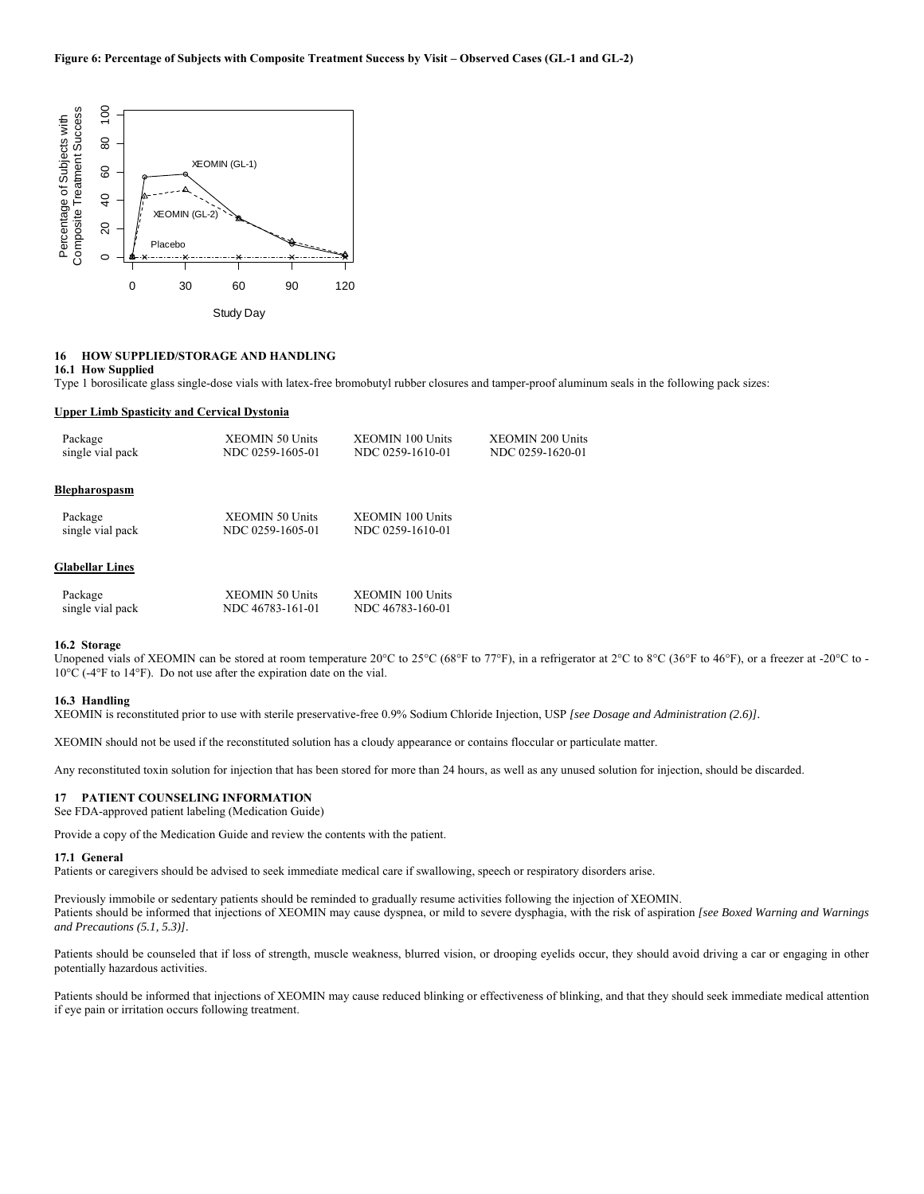

Study Day

## **16 HOW SUPPLIED/STORAGE AND HANDLING**

### **16.1 How Supplied**

Type 1 borosilicate glass single-dose vials with latex-free bromobutyl rubber closures and tamper-proof aluminum seals in the following pack sizes:

#### **Upper Limb Spasticity and Cervical Dystonia**

| Package                | <b>XEOMIN 50 Units</b> | <b>XEOMIN 100 Units</b> | <b>XEOMIN 200 Units</b> |
|------------------------|------------------------|-------------------------|-------------------------|
| single vial pack       | NDC 0259-1605-01       | NDC 0259-1610-01        | NDC 0259-1620-01        |
| Blepharospasm          |                        |                         |                         |
| Package                | <b>XEOMIN 50 Units</b> | <b>XEOMIN 100 Units</b> |                         |
| single vial pack       | NDC 0259-1605-01       | NDC 0259-1610-01        |                         |
| <b>Glabellar Lines</b> |                        |                         |                         |
| Package                | <b>XEOMIN 50 Units</b> | <b>XEOMIN 100 Units</b> |                         |
| single vial pack       | NDC 46783-161-01       | NDC 46783-160-01        |                         |

### **16.2 Storage**

Unopened vials of XEOMIN can be stored at room temperature 20°C to 25°C (68°F to 77°F), in a refrigerator at 2°C to 8°C (36°F to 46°F), or a freezer at -20°C to -10°C (-4°F to 14°F). Do not use after the expiration date on the vial.

#### **16.3 Handling**

XEOMIN is reconstituted prior to use with sterile preservative-free 0.9% Sodium Chloride Injection, USP *[see Dosage and Administration (2.6)].*

XEOMIN should not be used if the reconstituted solution has a cloudy appearance or contains floccular or particulate matter.

Any reconstituted toxin solution for injection that has been stored for more than 24 hours, as well as any unused solution for injection, should be discarded.

## **17 PATIENT COUNSELING INFORMATION**

See FDA-approved patient labeling (Medication Guide)

Provide a copy of the Medication Guide and review the contents with the patient.

#### **17.1 General**

Patients or caregivers should be advised to seek immediate medical care if swallowing, speech or respiratory disorders arise.

Previously immobile or sedentary patients should be reminded to gradually resume activities following the injection of XEOMIN. Patients should be informed that injections of XEOMIN may cause dyspnea, or mild to severe dysphagia, with the risk of aspiration *[see Boxed Warning and Warnings and Precautions (5.1, 5.3)].* 

Patients should be counseled that if loss of strength, muscle weakness, blurred vision, or drooping eyelids occur, they should avoid driving a car or engaging in other potentially hazardous activities.

Patients should be informed that injections of XEOMIN may cause reduced blinking or effectiveness of blinking, and that they should seek immediate medical attention if eye pain or irritation occurs following treatment.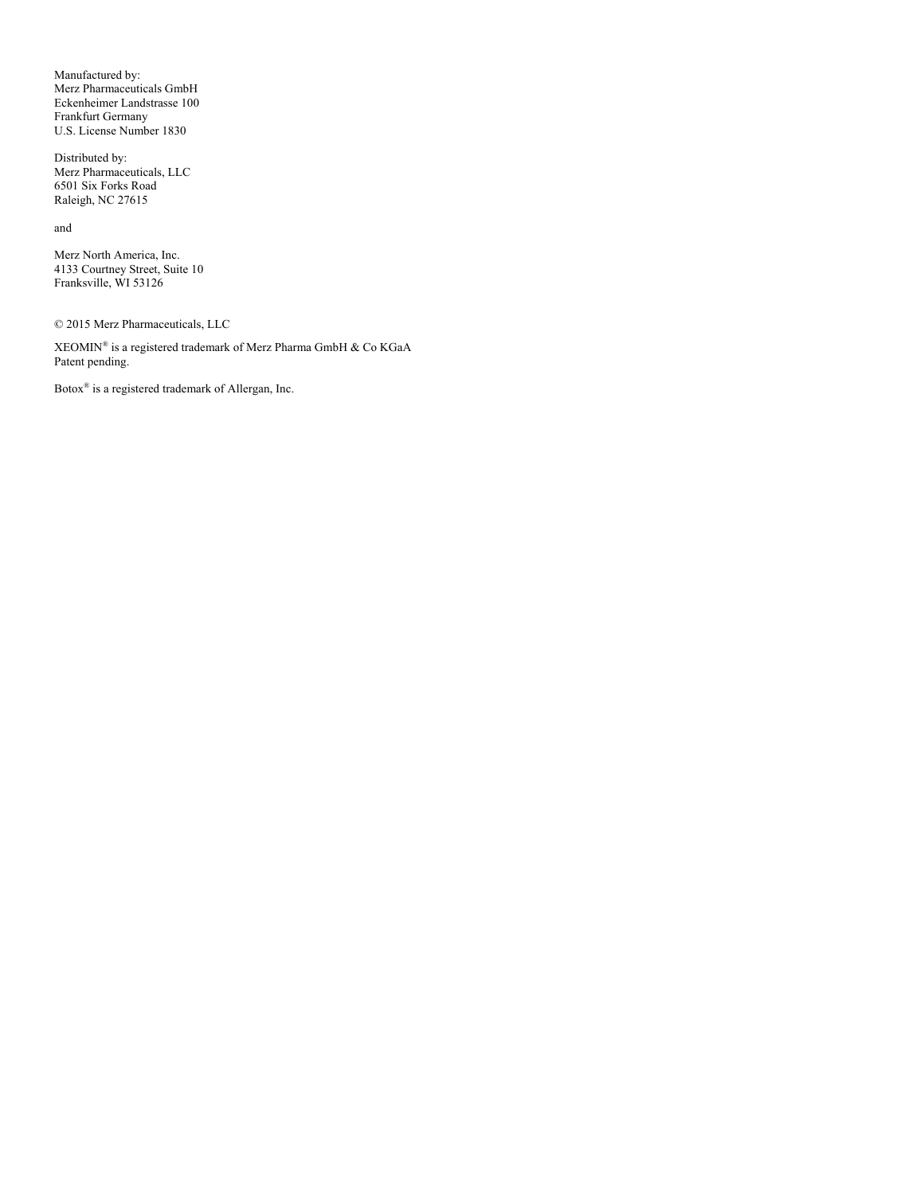Manufactured by: Merz Pharmaceuticals GmbH Eckenheimer Landstrasse 100 Frankfurt Germany U.S. License Number 1830

Distributed by: Merz Pharmaceuticals, LLC 6501 Six Forks Road Raleigh, NC 27615

and

Merz North America, Inc. 4133 Courtney Street, Suite 10 Franksville, WI 53126

© 2015 Merz Pharmaceuticals, LLC

 $\rm XEOMIN^{\circledast}$  is a registered trademark of Merz Pharma GmbH & Co  $\rm KGaA$ Patent pending.

Botox® is a registered trademark of Allergan, Inc.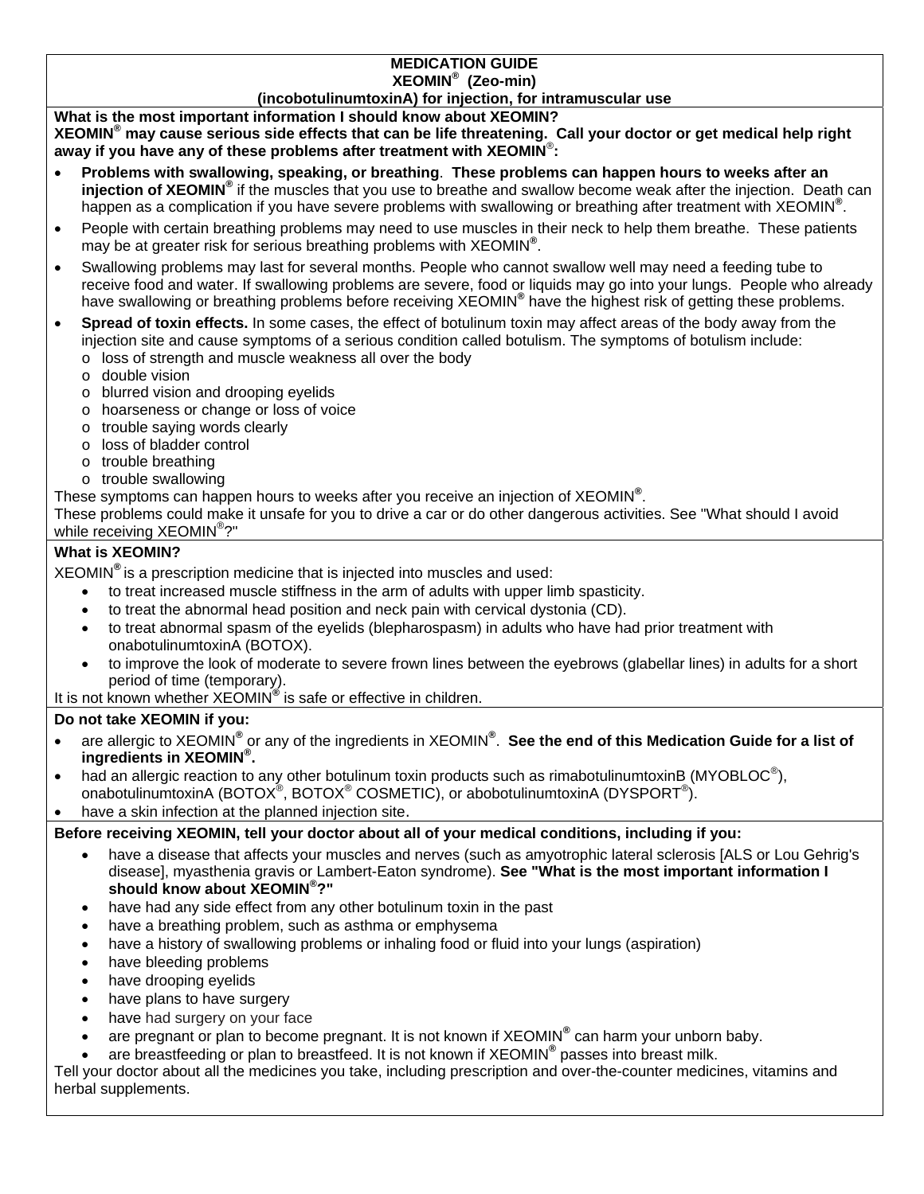# **MEDICATION GUIDE XEOMIN® (Zeo-min)**

**(incobotulinumtoxinA) for injection, for intramuscular use**

## **What is the most important information I should know about XEOMIN?**

**XEOMIN® may cause serious side effects that can be life threatening. Call your doctor or get medical help right away if you have any of these problems after treatment with XEOMIN**® **:** 

- **Problems with swallowing, speaking, or breathing**. **These problems can happen hours to weeks after an injection of XEOMIN®** if the muscles that you use to breathe and swallow become weak after the injection. Death can happen as a complication if you have severe problems with swallowing or breathing after treatment with XEOMIN**®** .
- People with certain breathing problems may need to use muscles in their neck to help them breathe. These patients may be at greater risk for serious breathing problems with XEOMIN**®** .
- Swallowing problems may last for several months. People who cannot swallow well may need a feeding tube to receive food and water. If swallowing problems are severe, food or liquids may go into your lungs. People who already have swallowing or breathing problems before receiving XEOMIN**®** have the highest risk of getting these problems.
- **Spread of toxin effects.** In some cases, the effect of botulinum toxin may affect areas of the body away from the injection site and cause symptoms of a serious condition called botulism. The symptoms of botulism include:
	- o loss of strength and muscle weakness all over the body
	- o double vision
	- o blurred vision and drooping eyelids
	- o hoarseness or change or loss of voice
	- o trouble saying words clearly
	- o loss of bladder control
	- o trouble breathing
	- o trouble swallowing
- These symptoms can happen hours to weeks after you receive an injection of XEOMIN**®** .

These problems could make it unsafe for you to drive a car or do other dangerous activities. See "What should I avoid while receiving XEOMIN<sup>®</sup>?"

# **What is XEOMIN?**

XEOMIN**®** is a prescription medicine that is injected into muscles and used:

- to treat increased muscle stiffness in the arm of adults with upper limb spasticity.
- to treat the abnormal head position and neck pain with cervical dystonia (CD).
- to treat abnormal spasm of the eyelids (blepharospasm) in adults who have had prior treatment with onabotulinumtoxinA (BOTOX).
- to improve the look of moderate to severe frown lines between the eyebrows (glabellar lines) in adults for a short period of time (temporary).

It is not known whether XEOMIN**®** is safe or effective in children.

# **Do not take XEOMIN if you:**

- **.** are allergic to XEOMIN<sup>®</sup> or any of the ingredients in XEOMIN<sup>®</sup>. See the end of this Medication Guide for a list of **ingredients in XEOMIN® .**
- had an allergic reaction to any other botulinum toxin products such as rimabotulinumtoxinB (MYOBLOC<sup>®</sup>), onabotulinumtoxinA (BOTOX®, BOTOX® COSMETIC), or abobotulinumtoxinA (DYSPORT®).
- have a skin infection at the planned injection site.

# **Before receiving XEOMIN, tell your doctor about all of your medical conditions, including if you:**

- have a disease that affects your muscles and nerves (such as amyotrophic lateral sclerosis [ALS or Lou Gehrig's disease], myasthenia gravis or Lambert-Eaton syndrome). **See "What is the most important information I should know about XEOMIN® ?"**
- have had any side effect from any other botulinum toxin in the past
- have a breathing problem, such as asthma or emphysema
- have a history of swallowing problems or inhaling food or fluid into your lungs (aspiration)
- have bleeding problems
- have drooping eyelids
- have plans to have surgery
- have had surgery on your face
- are pregnant or plan to become pregnant. It is not known if XEOMIN<sup>®</sup> can harm your unborn baby.
- are breastfeeding or plan to breastfeed. It is not known if XEOMIN<sup>®</sup> passes into breast milk.

Tell your doctor about all the medicines you take, including prescription and over-the-counter medicines, vitamins and herbal supplements.